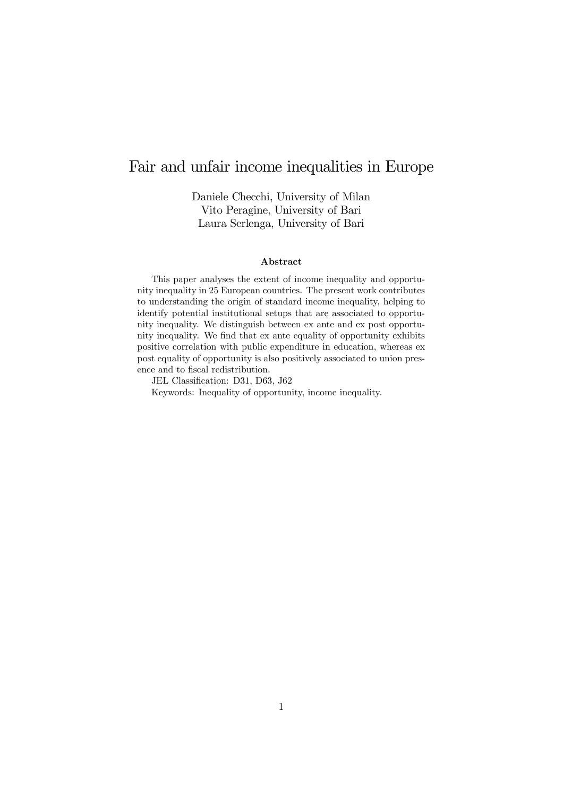## Fair and unfair income inequalities in Europe

Daniele Checchi, University of Milan Vito Peragine, University of Bari Laura Serlenga, University of Bari

#### Abstract

This paper analyses the extent of income inequality and opportunity inequality in 25 European countries. The present work contributes to understanding the origin of standard income inequality, helping to identify potential institutional setups that are associated to opportunity inequality. We distinguish between ex ante and ex post opportunity inequality. We find that ex ante equality of opportunity exhibits positive correlation with public expenditure in education, whereas ex post equality of opportunity is also positively associated to union presence and to fiscal redistribution.

JEL Classification: D31, D63, J62

Keywords: Inequality of opportunity, income inequality.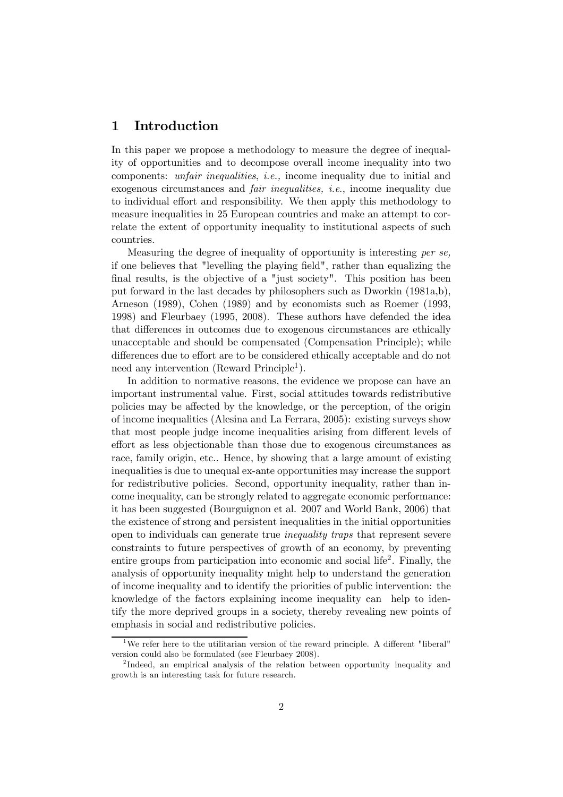### 1 Introduction

In this paper we propose a methodology to measure the degree of inequality of opportunities and to decompose overall income inequality into two components: unfair inequalities, i.e., income inequality due to initial and exogenous circumstances and fair inequalities, i.e., income inequality due to individual effort and responsibility. We then apply this methodology to measure inequalities in 25 European countries and make an attempt to correlate the extent of opportunity inequality to institutional aspects of such countries.

Measuring the degree of inequality of opportunity is interesting per se, if one believes that "levelling the playing field", rather than equalizing the final results, is the objective of a "just society". This position has been put forward in the last decades by philosophers such as Dworkin (1981a,b), Arneson (1989), Cohen (1989) and by economists such as Roemer (1993, 1998) and Fleurbaey (1995, 2008). These authors have defended the idea that differences in outcomes due to exogenous circumstances are ethically unacceptable and should be compensated (Compensation Principle); while differences due to effort are to be considered ethically acceptable and do not need any intervention  $(Reward Principle<sup>1</sup>)$ .

In addition to normative reasons, the evidence we propose can have an important instrumental value. First, social attitudes towards redistributive policies may be affected by the knowledge, or the perception, of the origin of income inequalities (Alesina and La Ferrara, 2005): existing surveys show that most people judge income inequalities arising from different levels of effort as less objectionable than those due to exogenous circumstances as race, family origin, etc.. Hence, by showing that a large amount of existing inequalities is due to unequal ex-ante opportunities may increase the support for redistributive policies. Second, opportunity inequality, rather than income inequality, can be strongly related to aggregate economic performance: it has been suggested (Bourguignon et al. 2007 and World Bank, 2006) that the existence of strong and persistent inequalities in the initial opportunities open to individuals can generate true inequality traps that represent severe constraints to future perspectives of growth of an economy, by preventing entire groups from participation into economic and social life<sup>2</sup>. Finally, the analysis of opportunity inequality might help to understand the generation of income inequality and to identify the priorities of public intervention: the knowledge of the factors explaining income inequality can help to identify the more deprived groups in a society, thereby revealing new points of emphasis in social and redistributive policies.

<sup>&</sup>lt;sup>1</sup>We refer here to the utilitarian version of the reward principle. A different "liberal" version could also be formulated (see Fleurbaey 2008).

<sup>2</sup> Indeed, an empirical analysis of the relation between opportunity inequality and growth is an interesting task for future research.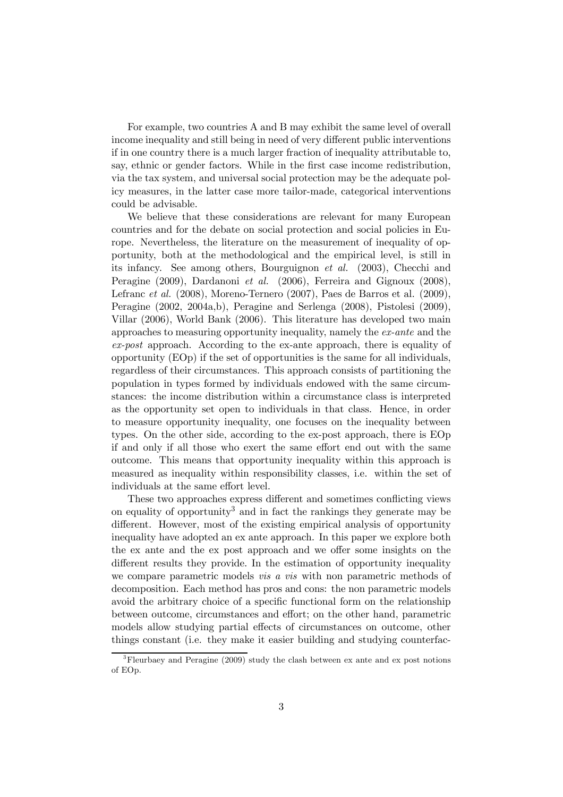For example, two countries A and B may exhibit the same level of overall income inequality and still being in need of very different public interventions if in one country there is a much larger fraction of inequality attributable to, say, ethnic or gender factors. While in the first case income redistribution, via the tax system, and universal social protection may be the adequate policy measures, in the latter case more tailor-made, categorical interventions could be advisable.

We believe that these considerations are relevant for many European countries and for the debate on social protection and social policies in Europe. Nevertheless, the literature on the measurement of inequality of opportunity, both at the methodological and the empirical level, is still in its infancy. See among others, Bourguignon et al. (2003), Checchi and Peragine (2009), Dardanoni et al. (2006), Ferreira and Gignoux (2008), Lefranc et al. (2008), Moreno-Ternero (2007), Paes de Barros et al. (2009), Peragine (2002, 2004a,b), Peragine and Serlenga (2008), Pistolesi (2009), Villar (2006), World Bank (2006). This literature has developed two main approaches to measuring opportunity inequality, namely the ex-ante and the ex-post approach. According to the ex-ante approach, there is equality of opportunity (EOp) if the set of opportunities is the same for all individuals, regardless of their circumstances. This approach consists of partitioning the population in types formed by individuals endowed with the same circumstances: the income distribution within a circumstance class is interpreted as the opportunity set open to individuals in that class. Hence, in order to measure opportunity inequality, one focuses on the inequality between types. On the other side, according to the ex-post approach, there is EOp if and only if all those who exert the same effort end out with the same outcome. This means that opportunity inequality within this approach is measured as inequality within responsibility classes, i.e. within the set of individuals at the same effort level.

These two approaches express different and sometimes conflicting views on equality of opportunity<sup>3</sup> and in fact the rankings they generate may be different. However, most of the existing empirical analysis of opportunity inequality have adopted an ex ante approach. In this paper we explore both the ex ante and the ex post approach and we offer some insights on the different results they provide. In the estimation of opportunity inequality we compare parametric models *vis a vis* with non parametric methods of decomposition. Each method has pros and cons: the non parametric models avoid the arbitrary choice of a specific functional form on the relationship between outcome, circumstances and effort; on the other hand, parametric models allow studying partial effects of circumstances on outcome, other things constant (i.e. they make it easier building and studying counterfac-

<sup>3</sup>Fleurbaey and Peragine (2009) study the clash between ex ante and ex post notions of EOp.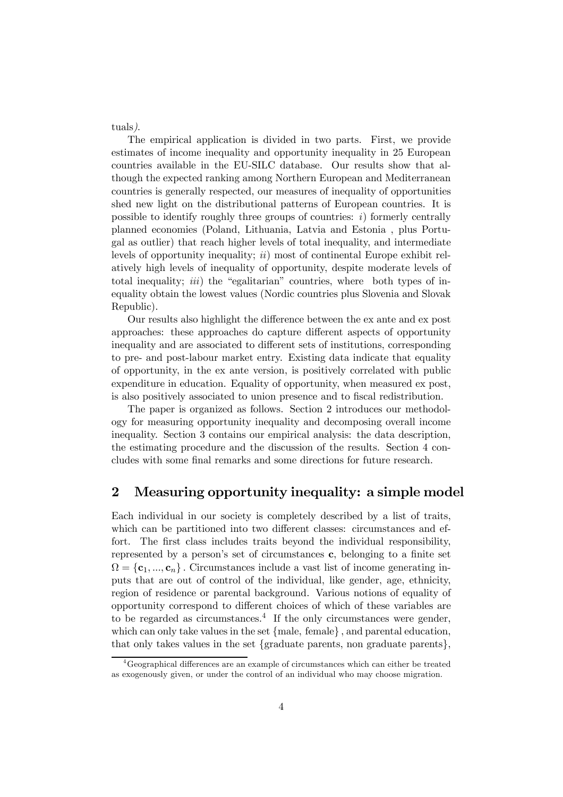tuals).

The empirical application is divided in two parts. First, we provide estimates of income inequality and opportunity inequality in 25 European countries available in the EU-SILC database. Our results show that although the expected ranking among Northern European and Mediterranean countries is generally respected, our measures of inequality of opportunities shed new light on the distributional patterns of European countries. It is possible to identify roughly three groups of countries:  $i)$  formerly centrally planned economies (Poland, Lithuania, Latvia and Estonia , plus Portugal as outlier) that reach higher levels of total inequality, and intermediate levels of opportunity inequality;  $ii)$  most of continental Europe exhibit relatively high levels of inequality of opportunity, despite moderate levels of total inequality; *iii*) the "egalitarian" countries, where both types of inequality obtain the lowest values (Nordic countries plus Slovenia and Slovak Republic).

Our results also highlight the difference between the ex ante and ex post approaches: these approaches do capture different aspects of opportunity inequality and are associated to different sets of institutions, corresponding to pre- and post-labour market entry. Existing data indicate that equality of opportunity, in the ex ante version, is positively correlated with public expenditure in education. Equality of opportunity, when measured ex post, is also positively associated to union presence and to fiscal redistribution.

The paper is organized as follows. Section 2 introduces our methodology for measuring opportunity inequality and decomposing overall income inequality. Section 3 contains our empirical analysis: the data description, the estimating procedure and the discussion of the results. Section 4 concludes with some final remarks and some directions for future research.

## 2 Measuring opportunity inequality: a simple model

Each individual in our society is completely described by a list of traits, which can be partitioned into two different classes: circumstances and effort. The first class includes traits beyond the individual responsibility, represented by a person's set of circumstances c, belonging to a finite set  $\Omega = {\bf c}_1, ..., {\bf c}_n$ . Circumstances include a vast list of income generating inputs that are out of control of the individual, like gender, age, ethnicity, region of residence or parental background. Various notions of equality of opportunity correspond to different choices of which of these variables are to be regarded as circumstances.<sup>4</sup> If the only circumstances were gender, which can only take values in the set {male, female} , and parental education, that only takes values in the set {graduate parents, non graduate parents},

<sup>&</sup>lt;sup>4</sup>Geographical differences are an example of circumstances which can either be treated as exogenously given, or under the control of an individual who may choose migration.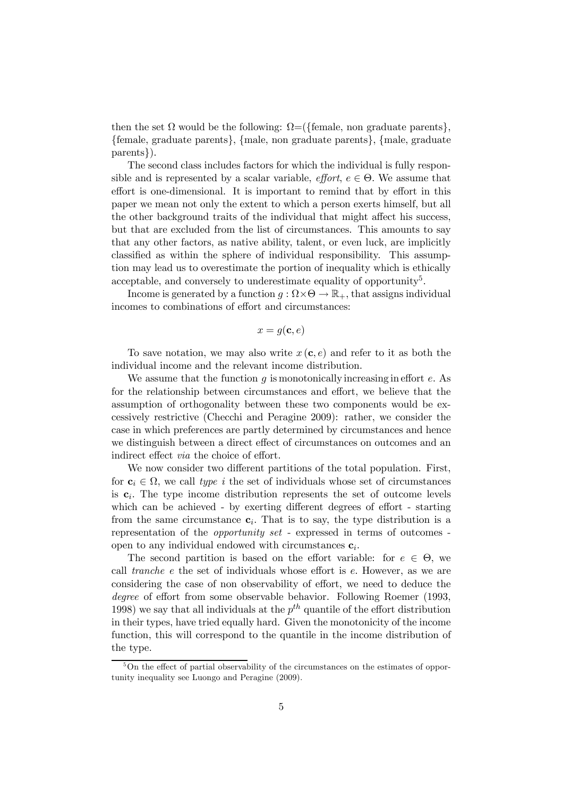then the set  $\Omega$  would be the following:  $\Omega = (\{\text{female, non graduate parents}\},\$ {female, graduate parents}, {male, non graduate parents}, {male, graduate parents}).

The second class includes factors for which the individual is fully responsible and is represented by a scalar variable, *effort*,  $e \in \Theta$ . We assume that effort is one-dimensional. It is important to remind that by effort in this paper we mean not only the extent to which a person exerts himself, but all the other background traits of the individual that might affect his success, but that are excluded from the list of circumstances. This amounts to say that any other factors, as native ability, talent, or even luck, are implicitly classified as within the sphere of individual responsibility. This assumption may lead us to overestimate the portion of inequality which is ethically acceptable, and conversely to underestimate equality of opportunity<sup>5</sup>.

Income is generated by a function  $g : \Omega \times \Theta \to \mathbb{R}_+$ , that assigns individual incomes to combinations of effort and circumstances:

$$
x = g(\mathbf{c}, e)
$$

To save notation, we may also write  $x(c, e)$  and refer to it as both the individual income and the relevant income distribution.

We assume that the function  $g$  is monotonically increasing in effort  $e$ . As for the relationship between circumstances and effort, we believe that the assumption of orthogonality between these two components would be excessively restrictive (Checchi and Peragine 2009): rather, we consider the case in which preferences are partly determined by circumstances and hence we distinguish between a direct effect of circumstances on outcomes and an indirect effect via the choice of effort.

We now consider two different partitions of the total population. First, for  $c_i \in \Omega$ , we call type i the set of individuals whose set of circumstances is  $c_i$ . The type income distribution represents the set of outcome levels which can be achieved - by exerting different degrees of effort - starting from the same circumstance  $c_i$ . That is to say, the type distribution is a representation of the opportunity set - expressed in terms of outcomes open to any individual endowed with circumstances  $c_i$ .

The second partition is based on the effort variable: for  $e \in \Theta$ , we call tranche e the set of individuals whose effort is e. However, as we are considering the case of non observability of effort, we need to deduce the degree of effort from some observable behavior. Following Roemer (1993, 1998) we say that all individuals at the  $p^{th}$  quantile of the effort distribution in their types, have tried equally hard. Given the monotonicity of the income function, this will correspond to the quantile in the income distribution of the type.

 $5$ On the effect of partial observability of the circumstances on the estimates of opportunity inequality see Luongo and Peragine (2009).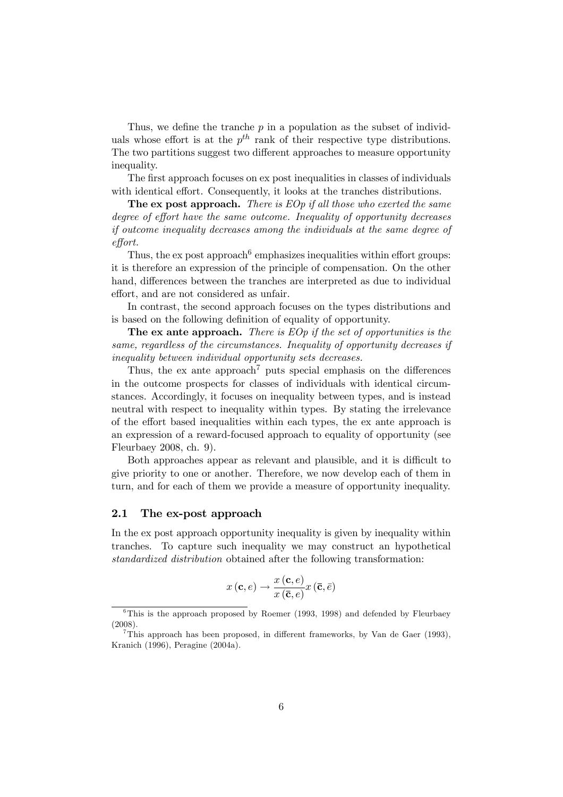Thus, we define the tranche  $p$  in a population as the subset of individuals whose effort is at the  $p^{th}$  rank of their respective type distributions. The two partitions suggest two different approaches to measure opportunity inequality.

The first approach focuses on ex post inequalities in classes of individuals with identical effort. Consequently, it looks at the tranches distributions.

**The ex post approach.** There is  $EOp$  if all those who exerted the same degree of effort have the same outcome. Inequality of opportunity decreases if outcome inequality decreases among the individuals at the same degree of effort.

Thus, the expost approach  $6$  emphasizes inequalities within effort groups: it is therefore an expression of the principle of compensation. On the other hand, differences between the tranches are interpreted as due to individual effort, and are not considered as unfair.

In contrast, the second approach focuses on the types distributions and is based on the following definition of equality of opportunity.

The ex ante approach. There is  $EOp$  if the set of opportunities is the same, regardless of the circumstances. Inequality of opportunity decreases if inequality between individual opportunity sets decreases.

Thus, the ex ante approach<sup>7</sup> puts special emphasis on the differences in the outcome prospects for classes of individuals with identical circumstances. Accordingly, it focuses on inequality between types, and is instead neutral with respect to inequality within types. By stating the irrelevance of the effort based inequalities within each types, the ex ante approach is an expression of a reward-focused approach to equality of opportunity (see Fleurbaey 2008, ch. 9).

Both approaches appear as relevant and plausible, and it is difficult to give priority to one or another. Therefore, we now develop each of them in turn, and for each of them we provide a measure of opportunity inequality.

#### 2.1 The ex-post approach

In the ex post approach opportunity inequality is given by inequality within tranches. To capture such inequality we may construct an hypothetical standardized distribution obtained after the following transformation:

$$
x\left(\mathbf{c},e\right) \rightarrow \frac{x\left(\mathbf{c},e\right)}{x\left(\mathbf{\bar{c}},e\right)}x\left(\mathbf{\bar{c}},\bar{e}\right)
$$

 $6$ This is the approach proposed by Roemer (1993, 1998) and defended by Fleurbaey (2008).

<sup>7</sup>This approach has been proposed, in different frameworks, by Van de Gaer (1993), Kranich (1996), Peragine (2004a).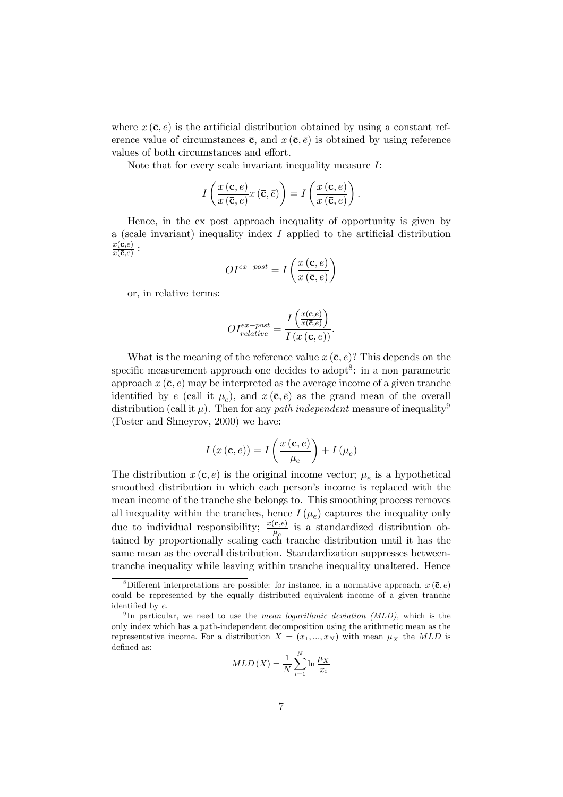where  $x(\bar{\mathbf{c}}, e)$  is the artificial distribution obtained by using a constant reference value of circumstances  $\bar{c}$ , and  $x(\bar{c}, \bar{e})$  is obtained by using reference values of both circumstances and effort.

Note that for every scale invariant inequality measure I:

$$
I\left(\frac{x\left(\mathbf{c},e\right)}{x\left(\overline{\mathbf{c}},e\right)}x\left(\overline{\mathbf{c}},\overline{e}\right)\right)=I\left(\frac{x\left(\mathbf{c},e\right)}{x\left(\overline{\mathbf{c}},e\right)}\right).
$$

Hence, in the ex post approach inequality of opportunity is given by a (scale invariant) inequality index  $I$  applied to the artificial distribution  $\frac{x(\mathbf{c},e)}{x(\mathbf{\bar{c}},e)}$  :

$$
OI^{ex-post} = I\left(\frac{x\left(\mathbf{c}, e\right)}{x\left(\mathbf{\bar{c}}, e\right)}\right)
$$

or, in relative terms:

$$
OI_{relative}^{ex-post} = \frac{I\left(\frac{x(\mathbf{c}, e)}{x(\overline{\mathbf{c}}, e)}\right)}{I\left(x\left(\mathbf{c}, e\right)\right)}.
$$

What is the meaning of the reference value  $x(\bar{c}, e)$ ? This depends on the specific measurement approach one decides to adopt<sup>8</sup>: in a non parametric approach  $x(\bar{c}, e)$  may be interpreted as the average income of a given tranche identified by e (call it  $\mu_e$ ), and  $x(\bar{\mathbf{c}}, \bar{e})$  as the grand mean of the overall distribution (call it  $\mu$ ). Then for any path independent measure of inequality<sup>9</sup> (Foster and Shneyrov, 2000) we have:

$$
I\left(x\left(\mathbf{c}, e\right)\right) = I\left(\frac{x\left(\mathbf{c}, e\right)}{\mu_e}\right) + I\left(\mu_e\right)
$$

The distribution  $x(c, e)$  is the original income vector;  $\mu_e$  is a hypothetical smoothed distribution in which each person's income is replaced with the mean income of the tranche she belongs to. This smoothing process removes all inequality within the tranches, hence  $I(\mu_e)$  captures the inequality only due to individual responsibility;  $\frac{x(\mathbf{c}, e)}{\mu_e}$  is a standardized distribution obtained by proportionally scaling each tranche distribution until it has the same mean as the overall distribution. Standardization suppresses betweentranche inequality while leaving within tranche inequality unaltered. Hence

$$
MLD\left(X\right) = \frac{1}{N} \sum_{i=1}^{N} \ln \frac{\mu_X}{x_i}
$$

<sup>&</sup>lt;sup>8</sup>Different interpretations are possible: for instance, in a normative approach,  $x(\bar{c}, e)$ could be represented by the equally distributed equivalent income of a given tranche identified by e.

<sup>&</sup>lt;sup>9</sup>In particular, we need to use the *mean logarithmic deviation (MLD)*, which is the only index which has a path-independent decomposition using the arithmetic mean as the representative income. For a distribution  $X = (x_1, ..., x_N)$  with mean  $\mu_X$  the MLD is defined as: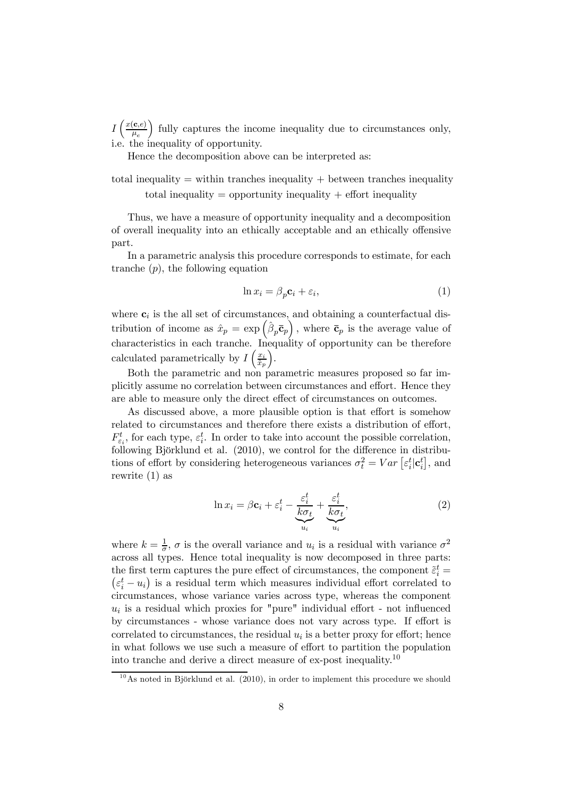$I\left(\frac{x(\mathbf{c},e)}{u}\right)$  $\overline{\mu_e}$ ) fully captures the income inequality due to circumstances only, i.e. the inequality of opportunity.

Hence the decomposition above can be interpreted as:

total inequality  $=$  within tranches inequality  $+$  between tranches inequality total inequality  $=$  opportunity inequality  $+$  effort inequality

Thus, we have a measure of opportunity inequality and a decomposition of overall inequality into an ethically acceptable and an ethically offensive part.

In a parametric analysis this procedure corresponds to estimate, for each tranche  $(p)$ , the following equation

$$
\ln x_i = \beta_p \mathbf{c}_i + \varepsilon_i,\tag{1}
$$

where  $c_i$  is the all set of circumstances, and obtaining a counterfactual distribution of income as  $\hat{x}_p = \exp\left(\hat{\beta}_p \bar{\mathbf{c}}_p\right)$ , where  $\bar{\mathbf{c}}_p$  is the average value of characteristics in each tranche. Inequality of opportunity can be therefore calculated parametrically by  $I\left(\frac{x_i}{\hat{x}}\right)$  $\overline{\hat{x}_p}$ ´ .

Both the parametric and non parametric measures proposed so far implicitly assume no correlation between circumstances and effort. Hence they are able to measure only the direct effect of circumstances on outcomes.

As discussed above, a more plausible option is that effort is somehow related to circumstances and therefore there exists a distribution of effort,  $F_{\varepsilon_i}^t$ , for each type,  $\varepsilon_i^t$ . In order to take into account the possible correlation, following Björklund et al. (2010), we control for the difference in distributions of effort by considering heterogeneous variances  $\sigma_t^2 = Var\left[\varepsilon_i^t | \mathbf{c}_i^t\right]$ , and rewrite (1) as

$$
\ln x_i = \beta \mathbf{c}_i + \varepsilon_i^t - \underbrace{\frac{\varepsilon_i^t}{k \sigma_t}}_{u_i} + \underbrace{\frac{\varepsilon_i^t}{k \sigma_t}}_{u_i},
$$
\n(2)

where  $k = \frac{1}{\sigma}$ ,  $\sigma$  is the overall variance and  $u_i$  is a residual with variance  $\sigma^2$ across all types. Hence total inequality is now decomposed in three parts: the first term captures the pure effect of circumstances, the component  $\tilde{\varepsilon}_i^t = (\varepsilon_i^t - u_i)$  is a residual term which measures individual effort correlated to  $\varepsilon_i^t - u_i$ ) is a residual term which measures individual effort correlated to circumstances, whose variance varies across type, whereas the component  $u_i$  is a residual which proxies for "pure" individual effort - not influenced by circumstances - whose variance does not vary across type. If effort is correlated to circumstances, the residual  $u_i$  is a better proxy for effort; hence in what follows we use such a measure of effort to partition the population into tranche and derive a direct measure of ex-post inequality.<sup>10</sup>

 $10$ As noted in Björklund et al. (2010), in order to implement this procedure we should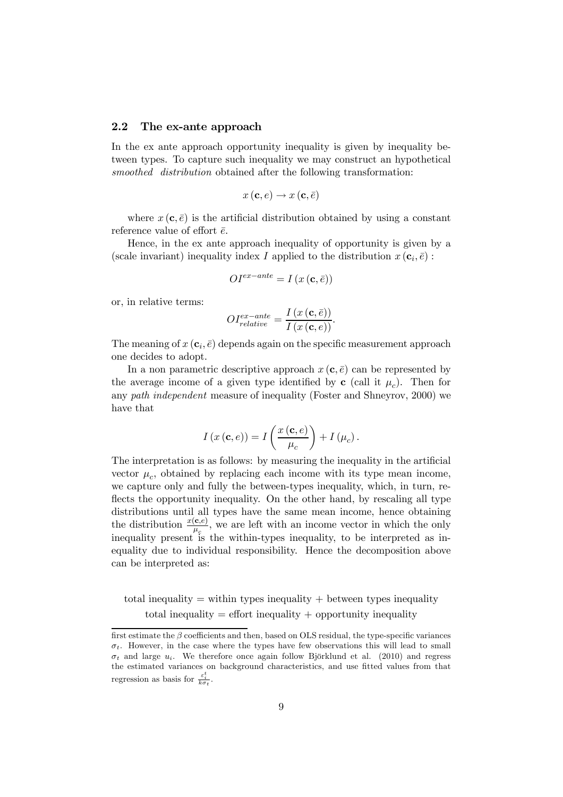#### 2.2 The ex-ante approach

In the ex ante approach opportunity inequality is given by inequality between types. To capture such inequality we may construct an hypothetical smoothed distribution obtained after the following transformation:

$$
x\left(\mathbf{c},e\right)\to x\left(\mathbf{c},\bar{e}\right)
$$

where  $x(\mathbf{c}, \bar{e})$  is the artificial distribution obtained by using a constant reference value of effort  $\bar{e}$ .

Hence, in the ex ante approach inequality of opportunity is given by a (scale invariant) inequality index I applied to the distribution  $x(c_i, \bar{e})$ :

$$
OI^{ex-ante} = I\left(x\left(\mathbf{c}, \bar{e}\right)\right)
$$

or, in relative terms:

$$
OI_{relative}^{ex-ante} = \frac{I\left(x\left(\mathbf{c}, \bar{e}\right)\right)}{I\left(x\left(\mathbf{c}, e\right)\right)}.
$$

The meaning of  $x(\mathbf{c}_i, \bar{e})$  depends again on the specific measurement approach one decides to adopt.

In a non parametric descriptive approach  $x(c, \bar{e})$  can be represented by the average income of a given type identified by **c** (call it  $\mu_c$ ). Then for any path independent measure of inequality (Foster and Shneyrov, 2000) we have that

$$
I(x(\mathbf{c},e)) = I\left(\frac{x(\mathbf{c},e)}{\mu_c}\right) + I(\mu_c).
$$

The interpretation is as follows: by measuring the inequality in the artificial vector  $\mu_c$ , obtained by replacing each income with its type mean income, we capture only and fully the between-types inequality, which, in turn, reflects the opportunity inequality. On the other hand, by rescaling all type distributions until all types have the same mean income, hence obtaining the distribution  $\frac{x(\mathbf{c},e)}{\mu_c}$ , we are left with an income vector in which the only inequality present is the within-types inequality, to be interpreted as inequality due to individual responsibility. Hence the decomposition above can be interpreted as:

total inequality  $=$  within types inequality  $+$  between types inequality total inequality  $=$  effort inequality  $+$  opportunity inequality

first estimate the β coefficients and then, based on OLS residual, the type-specific variances  $\sigma_t$ . However, in the case where the types have few observations this will lead to small  $\sigma_t$  and large  $u_i$ . We therefore once again follow Björklund et al. (2010) and regress the estimated variances on background characteristics, and use fitted values from that regression as basis for  $\frac{\varepsilon_i^t}{k\sigma_t}$ .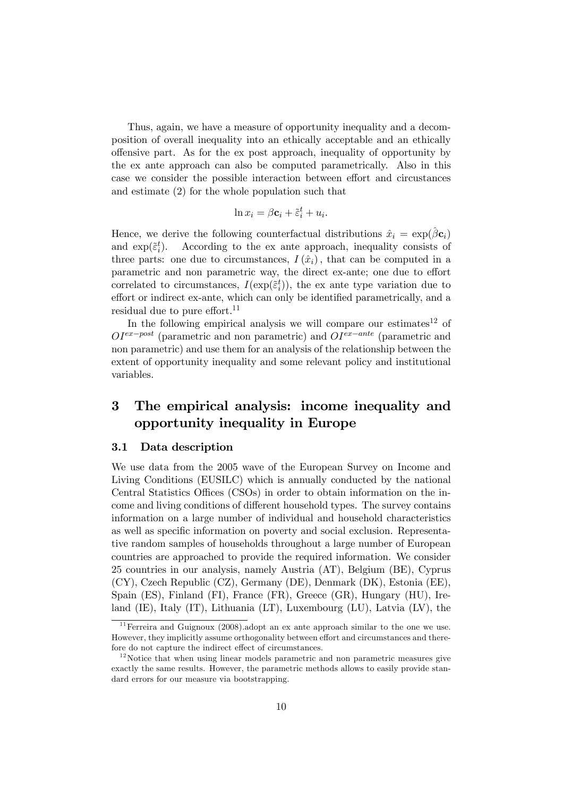Thus, again, we have a measure of opportunity inequality and a decomposition of overall inequality into an ethically acceptable and an ethically offensive part. As for the ex post approach, inequality of opportunity by the ex ante approach can also be computed parametrically. Also in this case we consider the possible interaction between effort and circustances and estimate (2) for the whole population such that

$$
\ln x_i = \beta \mathbf{c}_i + \tilde{\varepsilon}_i^t + u_i.
$$

Hence, we derive the following counterfactual distributions  $\hat{x}_i = \exp(\hat{\beta} \mathbf{c}_i)$ and  $\exp(\tilde{\epsilon}_i^t)$ . According to the ex ante approach, inequality consists of three parts: one due to circumstances,  $I(\hat{x}_i)$ , that can be computed in a parametric and non parametric way, the direct ex-ante; one due to effort correlated to circumstances,  $I(\exp(\tilde{\varepsilon}_i^t))$ , the ex ante type variation due to effort or indirect ex-ante, which can only be identified parametrically, and a residual due to pure effort. $11$ 

In the following empirical analysis we will compare our estimates<sup>12</sup> of  $OI^{ex-post}$  (parametric and non parametric) and  $OI^{ex-ante}$  (parametric and non parametric) and use them for an analysis of the relationship between the extent of opportunity inequality and some relevant policy and institutional variables.

## 3 The empirical analysis: income inequality and opportunity inequality in Europe

#### 3.1 Data description

We use data from the 2005 wave of the European Survey on Income and Living Conditions (EUSILC) which is annually conducted by the national Central Statistics Offices (CSOs) in order to obtain information on the income and living conditions of different household types. The survey contains information on a large number of individual and household characteristics as well as specific information on poverty and social exclusion. Representative random samples of households throughout a large number of European countries are approached to provide the required information. We consider 25 countries in our analysis, namely Austria (AT), Belgium (BE), Cyprus (CY), Czech Republic (CZ), Germany (DE), Denmark (DK), Estonia (EE), Spain (ES), Finland (FI), France (FR), Greece (GR), Hungary (HU), Ireland (IE), Italy (IT), Lithuania (LT), Luxembourg (LU), Latvia (LV), the

 $11$  Ferreira and Guignoux (2008). adopt an ex ante approach similar to the one we use. However, they implicitly assume orthogonality between effort and circumstances and therefore do not capture the indirect effect of circumstances.

 $12$  Notice that when using linear models parametric and non parametric measures give exactly the same results. However, the parametric methods allows to easily provide standard errors for our measure via bootstrapping.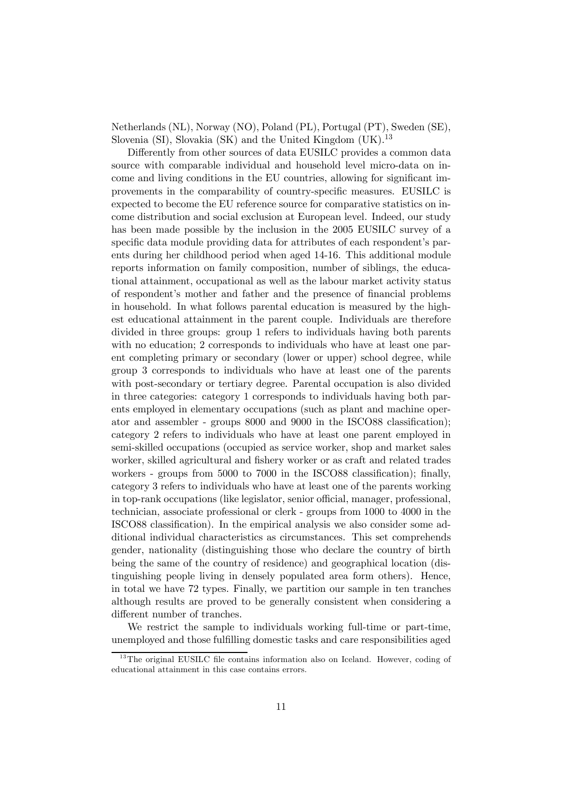Netherlands (NL), Norway (NO), Poland (PL), Portugal (PT), Sweden (SE), Slovenia (SI), Slovakia (SK) and the United Kingdom  $(UK)$ <sup>13</sup>

Differently from other sources of data EUSILC provides a common data source with comparable individual and household level micro-data on income and living conditions in the EU countries, allowing for significant improvements in the comparability of country-specific measures. EUSILC is expected to become the EU reference source for comparative statistics on income distribution and social exclusion at European level. Indeed, our study has been made possible by the inclusion in the 2005 EUSILC survey of a specific data module providing data for attributes of each respondent's parents during her childhood period when aged 14-16. This additional module reports information on family composition, number of siblings, the educational attainment, occupational as well as the labour market activity status of respondent's mother and father and the presence of financial problems in household. In what follows parental education is measured by the highest educational attainment in the parent couple. Individuals are therefore divided in three groups: group 1 refers to individuals having both parents with no education; 2 corresponds to individuals who have at least one parent completing primary or secondary (lower or upper) school degree, while group 3 corresponds to individuals who have at least one of the parents with post-secondary or tertiary degree. Parental occupation is also divided in three categories: category 1 corresponds to individuals having both parents employed in elementary occupations (such as plant and machine operator and assembler - groups 8000 and 9000 in the ISCO88 classification); category 2 refers to individuals who have at least one parent employed in semi-skilled occupations (occupied as service worker, shop and market sales worker, skilled agricultural and fishery worker or as craft and related trades workers - groups from 5000 to 7000 in the ISCO88 classification); finally, category 3 refers to individuals who have at least one of the parents working in top-rank occupations (like legislator, senior official, manager, professional, technician, associate professional or clerk - groups from 1000 to 4000 in the ISCO88 classification). In the empirical analysis we also consider some additional individual characteristics as circumstances. This set comprehends gender, nationality (distinguishing those who declare the country of birth being the same of the country of residence) and geographical location (distinguishing people living in densely populated area form others). Hence, in total we have 72 types. Finally, we partition our sample in ten tranches although results are proved to be generally consistent when considering a different number of tranches.

We restrict the sample to individuals working full-time or part-time, unemployed and those fulfilling domestic tasks and care responsibilities aged

 $13$ The original EUSILC file contains information also on Iceland. However, coding of educational attainment in this case contains errors.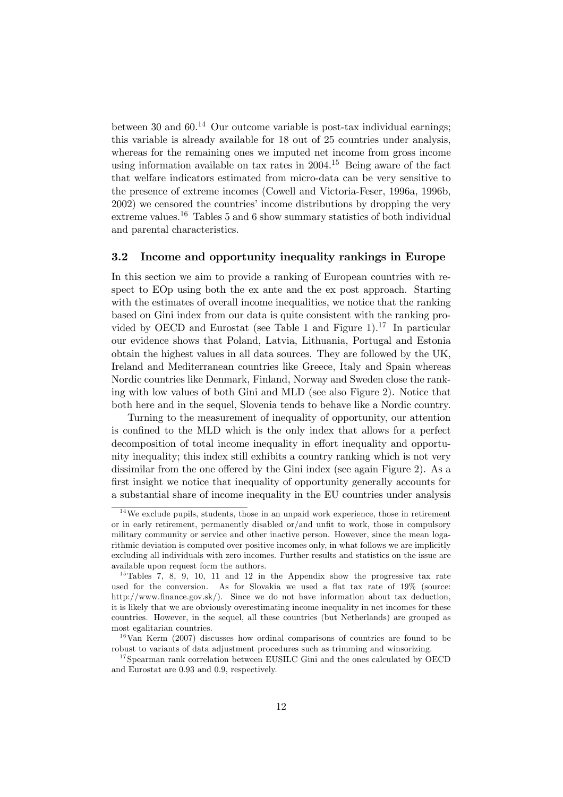between 30 and  $60^{14}$  Our outcome variable is post-tax individual earnings; this variable is already available for 18 out of 25 countries under analysis, whereas for the remaining ones we imputed net income from gross income using information available on tax rates in  $2004$ .<sup>15</sup> Being aware of the fact that welfare indicators estimated from micro-data can be very sensitive to the presence of extreme incomes (Cowell and Victoria-Feser, 1996a, 1996b, 2002) we censored the countries' income distributions by dropping the very extreme values.<sup>16</sup> Tables 5 and 6 show summary statistics of both individual and parental characteristics.

### 3.2 Income and opportunity inequality rankings in Europe

In this section we aim to provide a ranking of European countries with respect to EOp using both the ex ante and the ex post approach. Starting with the estimates of overall income inequalities, we notice that the ranking based on Gini index from our data is quite consistent with the ranking provided by OECD and Eurostat (see Table 1 and Figure  $1$ ).<sup>17</sup> In particular our evidence shows that Poland, Latvia, Lithuania, Portugal and Estonia obtain the highest values in all data sources. They are followed by the UK, Ireland and Mediterranean countries like Greece, Italy and Spain whereas Nordic countries like Denmark, Finland, Norway and Sweden close the ranking with low values of both Gini and MLD (see also Figure 2). Notice that both here and in the sequel, Slovenia tends to behave like a Nordic country.

Turning to the measurement of inequality of opportunity, our attention is confined to the MLD which is the only index that allows for a perfect decomposition of total income inequality in effort inequality and opportunity inequality; this index still exhibits a country ranking which is not very dissimilar from the one offered by the Gini index (see again Figure 2). As a first insight we notice that inequality of opportunity generally accounts for a substantial share of income inequality in the EU countries under analysis

 $14$ We exclude pupils, students, those in an unpaid work experience, those in retirement or in early retirement, permanently disabled or/and unfit to work, those in compulsory military community or service and other inactive person. However, since the mean logarithmic deviation is computed over positive incomes only, in what follows we are implicitly excluding all individuals with zero incomes. Further results and statistics on the issue are available upon request form the authors.

<sup>&</sup>lt;sup>15</sup>Tables 7, 8, 9, 10, 11 and 12 in the Appendix show the progressive tax rate used for the conversion. As for Slovakia we used a flat tax rate of 19% (source: http://www.finance.gov.sk/). Since we do not have information about tax deduction, it is likely that we are obviously overestimating income inequality in net incomes for these countries. However, in the sequel, all these countries (but Netherlands) are grouped as most egalitarian countries.

 $16$ Van Kerm (2007) discusses how ordinal comparisons of countries are found to be robust to variants of data adjustment procedures such as trimming and winsorizing.

 $17$ Spearman rank correlation between EUSILC Gini and the ones calculated by OECD and Eurostat are 0.93 and 0.9, respectively.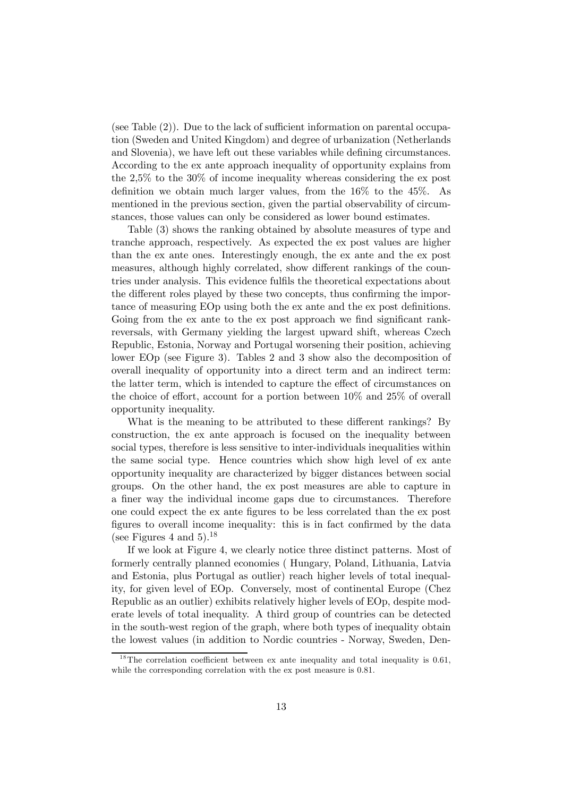(see Table (2)). Due to the lack of sufficient information on parental occupation (Sweden and United Kingdom) and degree of urbanization (Netherlands and Slovenia), we have left out these variables while defining circumstances. According to the ex ante approach inequality of opportunity explains from the 2,5% to the 30% of income inequality whereas considering the ex post definition we obtain much larger values, from the 16% to the 45%. As mentioned in the previous section, given the partial observability of circumstances, those values can only be considered as lower bound estimates.

Table (3) shows the ranking obtained by absolute measures of type and tranche approach, respectively. As expected the ex post values are higher than the ex ante ones. Interestingly enough, the ex ante and the ex post measures, although highly correlated, show different rankings of the countries under analysis. This evidence fulfils the theoretical expectations about the different roles played by these two concepts, thus confirming the importance of measuring EOp using both the ex ante and the ex post definitions. Going from the ex ante to the ex post approach we find significant rankreversals, with Germany yielding the largest upward shift, whereas Czech Republic, Estonia, Norway and Portugal worsening their position, achieving lower EOp (see Figure 3). Tables 2 and 3 show also the decomposition of overall inequality of opportunity into a direct term and an indirect term: the latter term, which is intended to capture the effect of circumstances on the choice of effort, account for a portion between 10% and 25% of overall opportunity inequality.

What is the meaning to be attributed to these different rankings? By construction, the ex ante approach is focused on the inequality between social types, therefore is less sensitive to inter-individuals inequalities within the same social type. Hence countries which show high level of ex ante opportunity inequality are characterized by bigger distances between social groups. On the other hand, the ex post measures are able to capture in a finer way the individual income gaps due to circumstances. Therefore one could expect the ex ante figures to be less correlated than the ex post figures to overall income inequality: this is in fact confirmed by the data (see Figures 4 and 5).<sup>18</sup>

If we look at Figure 4, we clearly notice three distinct patterns. Most of formerly centrally planned economies ( Hungary, Poland, Lithuania, Latvia and Estonia, plus Portugal as outlier) reach higher levels of total inequality, for given level of EOp. Conversely, most of continental Europe (Chez Republic as an outlier) exhibits relatively higher levels of EOp, despite moderate levels of total inequality. A third group of countries can be detected in the south-west region of the graph, where both types of inequality obtain the lowest values (in addition to Nordic countries - Norway, Sweden, Den-

<sup>&</sup>lt;sup>18</sup>The correlation coefficient between ex ante inequality and total inequality is  $0.61$ , while the corresponding correlation with the ex post measure is  $0.81$ .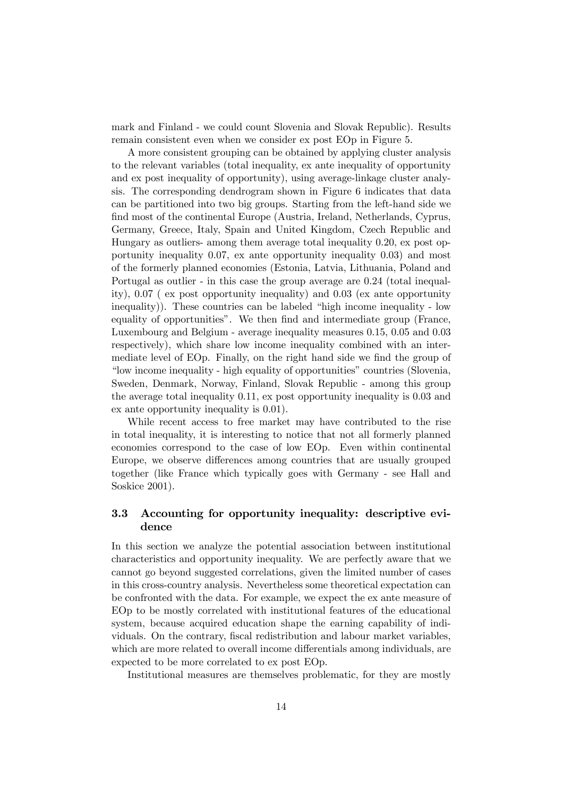mark and Finland - we could count Slovenia and Slovak Republic). Results remain consistent even when we consider ex post EOp in Figure 5.

A more consistent grouping can be obtained by applying cluster analysis to the relevant variables (total inequality, ex ante inequality of opportunity and ex post inequality of opportunity), using average-linkage cluster analysis. The corresponding dendrogram shown in Figure 6 indicates that data can be partitioned into two big groups. Starting from the left-hand side we find most of the continental Europe (Austria, Ireland, Netherlands, Cyprus, Germany, Greece, Italy, Spain and United Kingdom, Czech Republic and Hungary as outliers- among them average total inequality 0.20, ex post opportunity inequality 0.07, ex ante opportunity inequality 0.03) and most of the formerly planned economies (Estonia, Latvia, Lithuania, Poland and Portugal as outlier - in this case the group average are 0.24 (total inequality), 0.07 ( ex post opportunity inequality) and 0.03 (ex ante opportunity inequality)). These countries can be labeled "high income inequality - low equality of opportunities". We then find and intermediate group (France, Luxembourg and Belgium - average inequality measures 0.15, 0.05 and 0.03 respectively), which share low income inequality combined with an intermediate level of EOp. Finally, on the right hand side we find the group of "low income inequality - high equality of opportunities" countries (Slovenia, Sweden, Denmark, Norway, Finland, Slovak Republic - among this group the average total inequality 0.11, ex post opportunity inequality is 0.03 and ex ante opportunity inequality is 0.01).

While recent access to free market may have contributed to the rise in total inequality, it is interesting to notice that not all formerly planned economies correspond to the case of low EOp. Even within continental Europe, we observe differences among countries that are usually grouped together (like France which typically goes with Germany - see Hall and Soskice 2001).

### 3.3 Accounting for opportunity inequality: descriptive evidence

In this section we analyze the potential association between institutional characteristics and opportunity inequality. We are perfectly aware that we cannot go beyond suggested correlations, given the limited number of cases in this cross-country analysis. Nevertheless some theoretical expectation can be confronted with the data. For example, we expect the ex ante measure of EOp to be mostly correlated with institutional features of the educational system, because acquired education shape the earning capability of individuals. On the contrary, fiscal redistribution and labour market variables, which are more related to overall income differentials among individuals, are expected to be more correlated to ex post EOp.

Institutional measures are themselves problematic, for they are mostly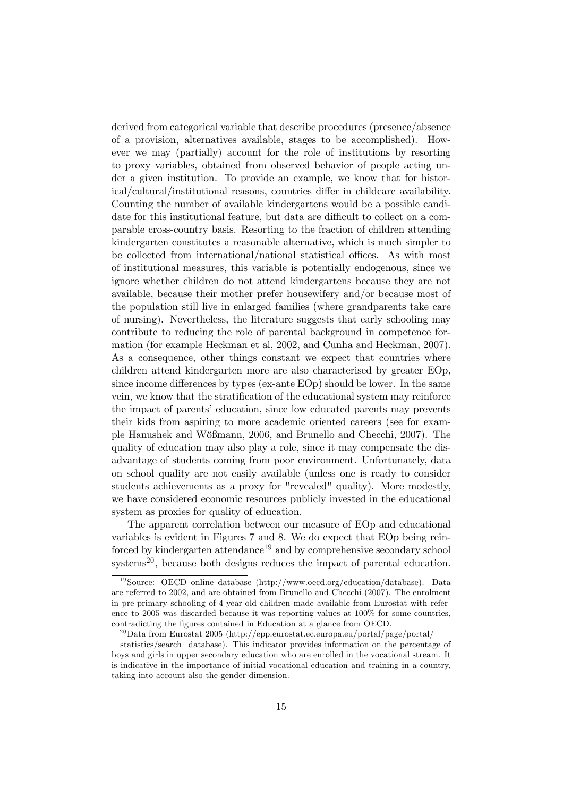derived from categorical variable that describe procedures (presence/absence of a provision, alternatives available, stages to be accomplished). However we may (partially) account for the role of institutions by resorting to proxy variables, obtained from observed behavior of people acting under a given institution. To provide an example, we know that for historical/cultural/institutional reasons, countries differ in childcare availability. Counting the number of available kindergartens would be a possible candidate for this institutional feature, but data are difficult to collect on a comparable cross-country basis. Resorting to the fraction of children attending kindergarten constitutes a reasonable alternative, which is much simpler to be collected from international/national statistical offices. As with most of institutional measures, this variable is potentially endogenous, since we ignore whether children do not attend kindergartens because they are not available, because their mother prefer housewifery and/or because most of the population still live in enlarged families (where grandparents take care of nursing). Nevertheless, the literature suggests that early schooling may contribute to reducing the role of parental background in competence formation (for example Heckman et al, 2002, and Cunha and Heckman, 2007). As a consequence, other things constant we expect that countries where children attend kindergarten more are also characterised by greater EOp, since income differences by types (ex-ante EOp) should be lower. In the same vein, we know that the stratification of the educational system may reinforce the impact of parents' education, since low educated parents may prevents their kids from aspiring to more academic oriented careers (see for example Hanushek and Wößmann, 2006, and Brunello and Checchi, 2007). The quality of education may also play a role, since it may compensate the disadvantage of students coming from poor environment. Unfortunately, data on school quality are not easily available (unless one is ready to consider students achievements as a proxy for "revealed" quality). More modestly, we have considered economic resources publicly invested in the educational system as proxies for quality of education.

The apparent correlation between our measure of EOp and educational variables is evident in Figures 7 and 8. We do expect that EOp being reinforced by kindergarten attendance<sup>19</sup> and by comprehensive secondary school systems<sup>20</sup>, because both designs reduces the impact of parental education.

<sup>&</sup>lt;sup>19</sup>Source: OECD online database (http://www.oecd.org/education/database). Data are referred to 2002, and are obtained from Brunello and Checchi (2007). The enrolment in pre-primary schooling of 4-year-old children made available from Eurostat with reference to 2005 was discarded because it was reporting values at 100% for some countries, contradicting the figures contained in Education at a glance from OECD.

<sup>&</sup>lt;sup>20</sup>Data from Eurostat 2005 (http://epp.eurostat.ec.europa.eu/portal/page/portal/

statistics/search\_database). This indicator provides information on the percentage of boys and girls in upper secondary education who are enrolled in the vocational stream. It is indicative in the importance of initial vocational education and training in a country, taking into account also the gender dimension.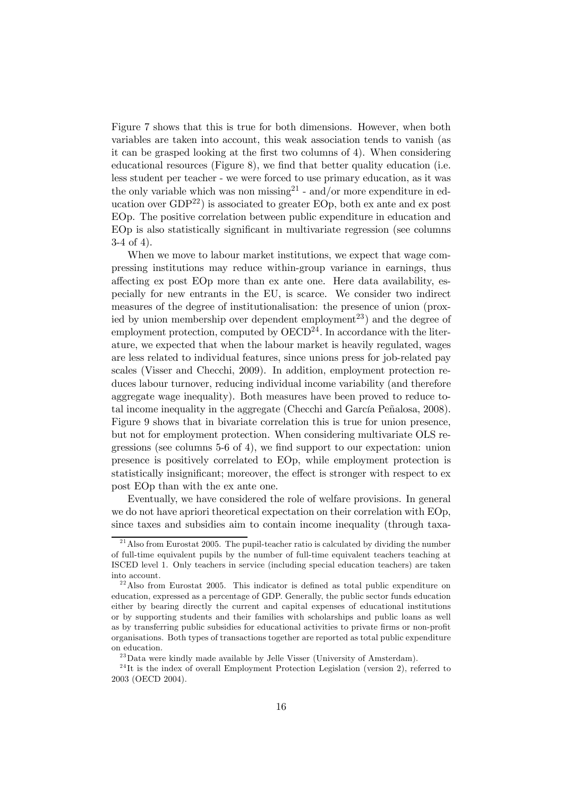Figure 7 shows that this is true for both dimensions. However, when both variables are taken into account, this weak association tends to vanish (as it can be grasped looking at the first two columns of 4). When considering educational resources (Figure 8), we find that better quality education (i.e. less student per teacher - we were forced to use primary education, as it was the only variable which was non missing<sup>21</sup> - and/or more expenditure in education over  $GDP^{22}$  is associated to greater EOp, both ex ante and ex post EOp. The positive correlation between public expenditure in education and EOp is also statistically significant in multivariate regression (see columns 3-4 of 4).

When we move to labour market institutions, we expect that wage compressing institutions may reduce within-group variance in earnings, thus affecting ex post EOp more than ex ante one. Here data availability, especially for new entrants in the EU, is scarce. We consider two indirect measures of the degree of institutionalisation: the presence of union (proxied by union membership over dependent employment<sup>23</sup>) and the degree of employment protection, computed by  $OECD^{24}$ . In accordance with the literature, we expected that when the labour market is heavily regulated, wages are less related to individual features, since unions press for job-related pay scales (Visser and Checchi, 2009). In addition, employment protection reduces labour turnover, reducing individual income variability (and therefore aggregate wage inequality). Both measures have been proved to reduce total income inequality in the aggregate (Checchi and García Peñalosa, 2008). Figure 9 shows that in bivariate correlation this is true for union presence, but not for employment protection. When considering multivariate OLS regressions (see columns 5-6 of 4), we find support to our expectation: union presence is positively correlated to EOp, while employment protection is statistically insignificant; moreover, the effect is stronger with respect to ex post EOp than with the ex ante one.

Eventually, we have considered the role of welfare provisions. In general we do not have apriori theoretical expectation on their correlation with EOp, since taxes and subsidies aim to contain income inequality (through taxa-

 $^{21}$  Also from Eurostat 2005. The pupil-teacher ratio is calculated by dividing the number of full-time equivalent pupils by the number of full-time equivalent teachers teaching at ISCED level 1. Only teachers in service (including special education teachers) are taken into account.

 $2<sup>22</sup>$  Also from Eurostat 2005. This indicator is defined as total public expenditure on education, expressed as a percentage of GDP. Generally, the public sector funds education either by bearing directly the current and capital expenses of educational institutions or by supporting students and their families with scholarships and public loans as well as by transferring public subsidies for educational activities to private firms or non-profit organisations. Both types of transactions together are reported as total public expenditure on education.

 $^{23}$ Data were kindly made available by Jelle Visser (University of Amsterdam).

 $2<sup>4</sup>$ It is the index of overall Employment Protection Legislation (version 2), referred to 2003 (OECD 2004).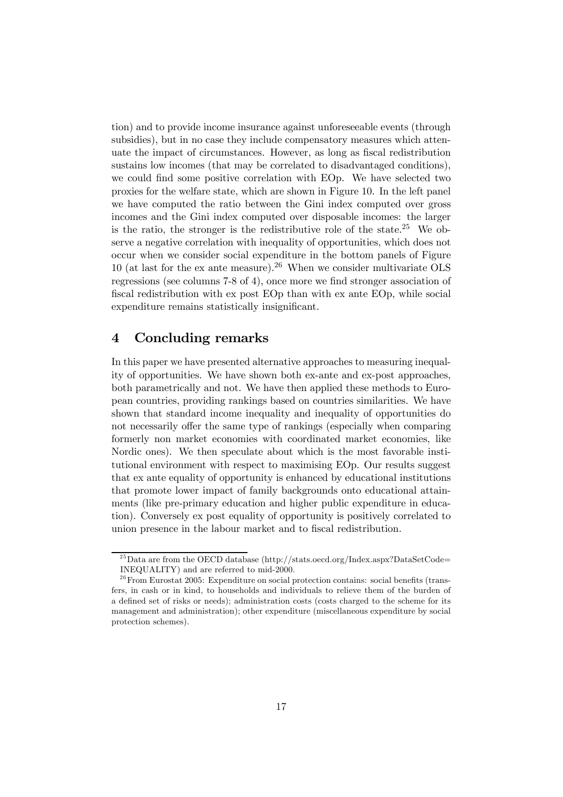tion) and to provide income insurance against unforeseeable events (through subsidies), but in no case they include compensatory measures which attenuate the impact of circumstances. However, as long as fiscal redistribution sustains low incomes (that may be correlated to disadvantaged conditions), we could find some positive correlation with EOp. We have selected two proxies for the welfare state, which are shown in Figure 10. In the left panel we have computed the ratio between the Gini index computed over gross incomes and the Gini index computed over disposable incomes: the larger is the ratio, the stronger is the redistributive role of the state.<sup>25</sup> We observe a negative correlation with inequality of opportunities, which does not occur when we consider social expenditure in the bottom panels of Figure 10 (at last for the ex ante measure).<sup>26</sup> When we consider multivariate OLS regressions (see columns 7-8 of 4), once more we find stronger association of fiscal redistribution with ex post EOp than with ex ante EOp, while social expenditure remains statistically insignificant.

## 4 Concluding remarks

In this paper we have presented alternative approaches to measuring inequality of opportunities. We have shown both ex-ante and ex-post approaches, both parametrically and not. We have then applied these methods to European countries, providing rankings based on countries similarities. We have shown that standard income inequality and inequality of opportunities do not necessarily offer the same type of rankings (especially when comparing formerly non market economies with coordinated market economies, like Nordic ones). We then speculate about which is the most favorable institutional environment with respect to maximising EOp. Our results suggest that ex ante equality of opportunity is enhanced by educational institutions that promote lower impact of family backgrounds onto educational attainments (like pre-primary education and higher public expenditure in education). Conversely ex post equality of opportunity is positively correlated to union presence in the labour market and to fiscal redistribution.

<sup>&</sup>lt;sup>25</sup>Data are from the OECD database (http://stats.oecd.org/Index.aspx?DataSetCode= INEQUALITY) and are referred to mid-2000.

 $^{26}$ From Eurostat 2005: Expenditure on social protection contains: social benefits (transfers, in cash or in kind, to households and individuals to relieve them of the burden of a defined set of risks or needs); administration costs (costs charged to the scheme for its management and administration); other expenditure (miscellaneous expenditure by social protection schemes).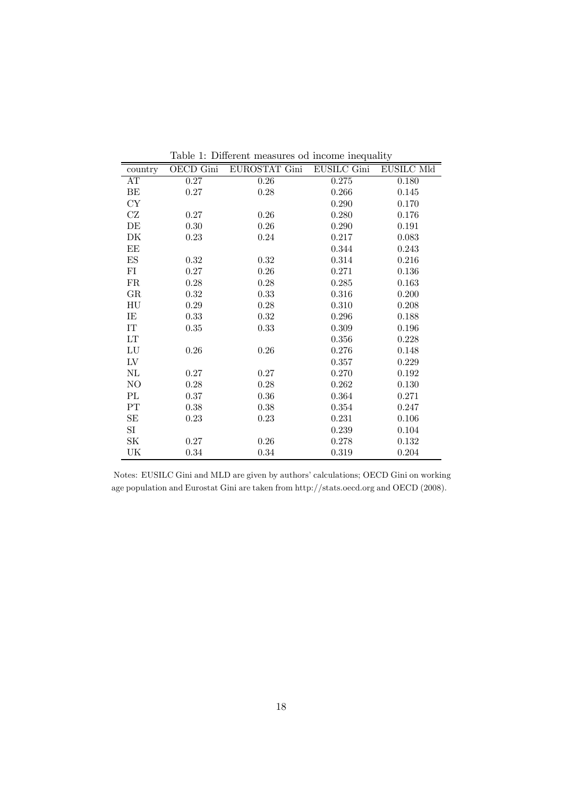| country             | OECD Gini | EUROSTAT Gini | <b>EUSILC Gini</b> | EUSILC Mld |
|---------------------|-----------|---------------|--------------------|------------|
| AT                  | $0.27\,$  | $0.26\,$      | 0.275              | 0.180      |
| ΒE                  | 0.27      | 0.28          | 0.266              | 0.145      |
| CY                  |           |               | 0.290              | 0.170      |
| CZ                  | 0.27      | 0.26          | 0.280              | 0.176      |
| DE                  | 0.30      | 0.26          | 0.290              | 0.191      |
| DK                  | 0.23      | 0.24          | 0.217              | 0.083      |
| EE                  |           |               | 0.344              | 0.243      |
| ${\rm ES}$          | 0.32      | 0.32          | 0.314              | 0.216      |
| FI                  | 0.27      | 0.26          | 0.271              | 0.136      |
| FR                  | 0.28      | 0.28          | 0.285              | 0.163      |
| $_{\rm GR}$         | 0.32      | 0.33          | 0.316              | 0.200      |
| HU                  | 0.29      | 0.28          | 0.310              | 0.208      |
| IE                  | 0.33      | 0.32          | 0.296              | 0.188      |
| $\operatorname{IT}$ | 0.35      | 0.33          | 0.309              | 0.196      |
| LT                  |           |               | 0.356              | 0.228      |
| LU                  | 0.26      | 0.26          | 0.276              | 0.148      |
| ${\rm LV}$          |           |               | 0.357              | 0.229      |
| $\rm NL$            | 0.27      | 0.27          | 0.270              | 0.192      |
| NO                  | 0.28      | 0.28          | 0.262              | 0.130      |
| PL                  | $0.37\,$  | $0.36\,$      | 0.364              | 0.271      |
| ${\cal PT}$         | 0.38      | 0.38          | 0.354              | 0.247      |
| SE                  | 0.23      | 0.23          | 0.231              | 0.106      |
| SI                  |           |               | 0.239              | 0.104      |
| SK                  | 0.27      | 0.26          | 0.278              | 0.132      |
| UK                  | 0.34      | $0.34\,$      | 0.319              | $0.204\,$  |

Table 1: Different measures od income inequality

Notes: EUSILC Gini and MLD are given by authors' calculations; OECD Gini on working age population and Eurostat Gini are taken from http://stats.oecd.org and OECD (2008).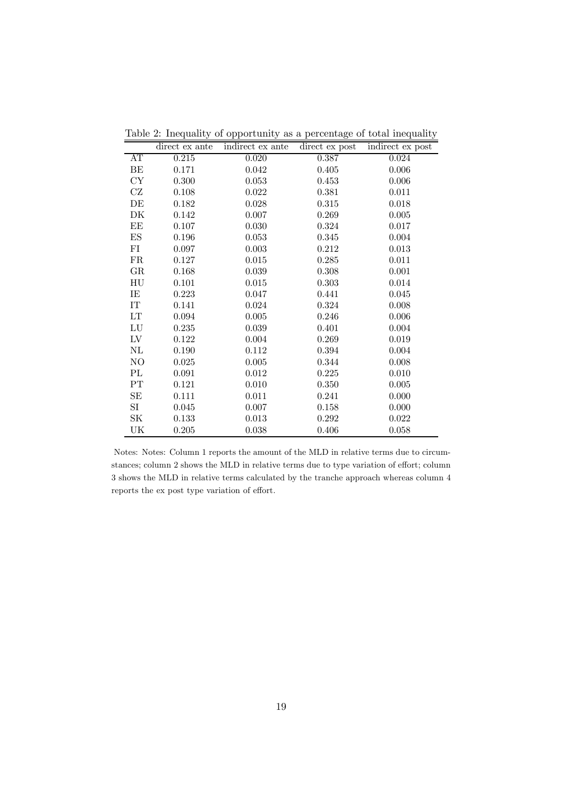|                            | direct ex ante | indirect ex ante | direct ex post | indirect ex post |
|----------------------------|----------------|------------------|----------------|------------------|
| AT                         | 0.215          | 0.020            | 0.387          | 0.024            |
| ВE                         | 0.171          | 0.042            | 0.405          | 0.006            |
| СY                         | 0.300          | 0.053            | 0.453          | 0.006            |
| CZ                         | 0.108          | 0.022            | 0.381          | 0.011            |
| DE                         | 0.182          | 0.028            | 0.315          | 0.018            |
| DΚ                         | 0.142          | 0.007            | 0.269          | 0.005            |
| ΕE                         | 0.107          | 0.030            | 0.324          | 0.017            |
| ES                         | 0.196          | 0.053            | 0.345          | 0.004            |
| FI                         | 0.097          | 0.003            | 0.212          | 0.013            |
| $_{\rm FR}$                | 0.127          | 0.015            | 0.285          | 0.011            |
| $\rm GR$                   | 0.168          | 0.039            | 0.308          | 0.001            |
| HU                         | 0.101          | 0.015            | 0.303          | 0.014            |
| IE                         | 0.223          | 0.047            | 0.441          | 0.045            |
| IT                         | 0.141          | 0.024            | 0.324          | 0.008            |
| $\mathop{\rm LT}\nolimits$ | 0.094          | 0.005            | 0.246          | 0.006            |
| ${\rm LU}$                 | 0.235          | 0.039            | 0.401          | 0.004            |
| LV                         | 0.122          | 0.004            | 0.269          | 0.019            |
| $\rm NL$                   | 0.190          | 0.112            | 0.394          | 0.004            |
| NO                         | 0.025          | 0.005            | 0.344          | 0.008            |
| PL                         | 0.091          | 0.012            | 0.225          | 0.010            |
| $\rm PT$                   | 0.121          | 0.010            | 0.350          | 0.005            |
| SE                         | 0.111          | 0.011            | 0.241          | 0.000            |
| SI                         | 0.045          | 0.007            | 0.158          | 0.000            |
| SK                         | 0.133          | 0.013            | 0.292          | 0.022            |
| UK                         | 0.205          | 0.038            | 0.406          | 0.058            |

Table 2: Inequality of opportunity as a percentage of total inequality

Notes: Notes: Column 1 reports the amount of the MLD in relative terms due to circumstances; column 2 shows the MLD in relative terms due to type variation of effort; column 3 shows the MLD in relative terms calculated by the tranche approach whereas column 4 reports the ex post type variation of effort.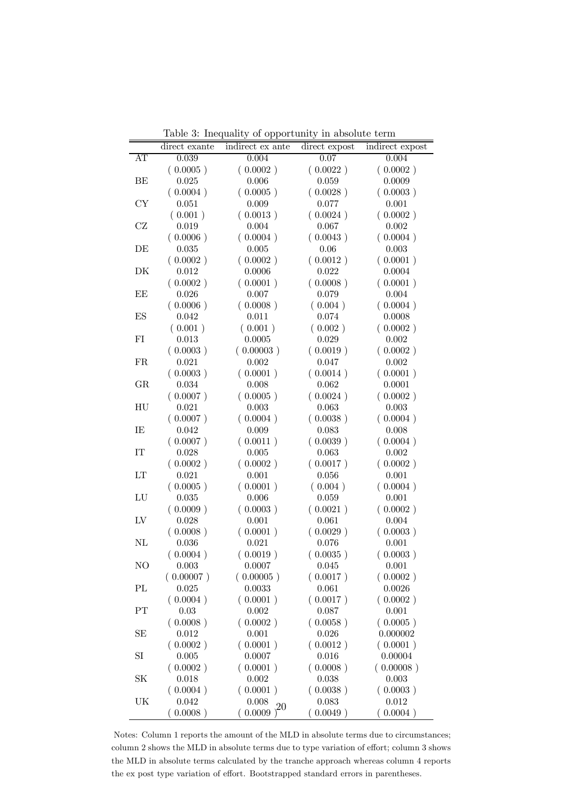|          |               | $\mathbf{r}$<br>$\sim$ - $\sim$ $\sim$ $\sim$ $\sim$ $\sim$ $\sim$ $\sim$ |               |                 |
|----------|---------------|---------------------------------------------------------------------------|---------------|-----------------|
|          | direct exante | indirect ex ante                                                          | direct expost | indirect expost |
| AΤ       | 0.039         | 0.004                                                                     | 0.07          | 0.004           |
|          | (0.0005)      | (0.0002)                                                                  | (0.0022)      | (0.0002)        |
| ВE       | 0.025         | 0.006                                                                     | 0.059         | 0.0009          |
|          | (0.0004)      | (0.0005)                                                                  | (0.0028)      | (0.0003)        |
| CY       | 0.051         | 0.009                                                                     | 0.077         | 0.001           |
|          | (0.001)       | (0.0013)                                                                  | (0.0024)      | (0.0002)        |
| CZ       | 0.019         | 0.004                                                                     | 0.067         | 0.002           |
|          | (0.0006)      | (0.0004)                                                                  | (0.0043)      | (0.0004)        |
| DE       | 0.035         | 0.005                                                                     | 0.06          | 0.003           |
|          | (0.0002)      | (0.0002)                                                                  | (0.0012)      | (0.0001)        |
| DK       | 0.012         | 0.0006                                                                    | 0.022         | 0.0004          |
|          | (0.0002)      | (0.0001)                                                                  | (0.0008)      | (0.0001)        |
| ЕE       | 0.026         | 0.007                                                                     | 0.079         | 0.004           |
|          | (0.0006)      | (0.0008)                                                                  | (0.004)       | (0.0004)        |
| ES       | 0.042         | 0.011                                                                     | 0.074         | 0.0008          |
|          | (0.001)       | (0.001)                                                                   | (0.002)       | (0.0002)        |
| FI       | 0.013         | 0.0005                                                                    | 0.029         | 0.002           |
|          | (0.0003)      | (0.00003)                                                                 | (0.0019)      | (0.0002)        |
| FR       | 0.021         | 0.002                                                                     | 0.047         | 0.002           |
|          | (0.0003)      | (0.0001)                                                                  | (0.0014)      | (0.0001)        |
| GR       | 0.034         | 0.008                                                                     | 0.062         | 0.0001          |
|          | (0.0007)      | (0.0005)                                                                  | (0.0024)      | (0.0002)        |
| HU       | 0.021         | 0.003                                                                     | 0.063         | 0.003           |
|          | (0.0007)      | (0.0004)                                                                  | (0.0038)      | (0.0004)        |
| IE       | 0.042         | 0.009                                                                     | 0.083         | 0.008           |
|          | (0.0007)      | (0.0011)                                                                  | (0.0039)      | (0.0004)        |
| IT       | 0.028         | 0.005                                                                     | 0.063         | 0.002           |
|          | (0.0002)      | (0.0002)                                                                  | (0.0017)      | (0.0002)        |
| LT       | 0.021         | 0.001                                                                     | 0.056         | 0.001           |
|          | (0.0005)      | (0.0001)                                                                  | (0.004)       | (0.0004)        |
| LU       | 0.035         | 0.006                                                                     | 0.059         | 0.001           |
|          | (0.0009)      | (0.0003)                                                                  | (0.0021)      | (0.0002)        |
| LV       | 0.028         | 0.001                                                                     | 0.061         | 0.004           |
|          | (0.0008)      | (0.0001)                                                                  | (0.0029)      | (0.0003)        |
| NL       | 0.036         | 0.021                                                                     | 0.076         | 0.001           |
|          | (0.0004)      | (0.0019)                                                                  | (0.0035)      | (0.0003)        |
| NO       | 0.003         | 0.0007                                                                    | 0.045         | 0.001           |
|          | (0.00007)     | (0.00005)                                                                 | (0.0017)      | (0.0002)        |
| PL       | 0.025         | 0.0033                                                                    | 0.061         | 0.0026          |
|          | (0.0004)      | (0.0001)                                                                  | (0.0017)      | (0.0002)        |
| $\rm PT$ | 0.03          | 0.002                                                                     | 0.087         | 0.001           |
|          | (0.0008)      | (0.0002)                                                                  | (0.0058)      | (0.0005)        |
| SE       | 0.012         | 0.001                                                                     | 0.026         | 0.000002        |
|          | (0.0002)      | (0.0001)                                                                  | (0.0012)      | (0.0001)        |
| SI       | 0.005         | 0.0007                                                                    | 0.016         | 0.00004         |
|          | (0.0002)      | (0.0001)                                                                  | (0.0008)      | (0.00008)       |
| SK       | 0.018         | 0.002                                                                     | 0.038         | 0.003           |
|          | (0.0004)      | (0.0001)                                                                  | (0.0038)      | (0.0003)        |
| UK       | 0.042         | 0.008<br>20                                                               | 0.083         | 0.012           |
|          | (0.0008)      | 0.0009                                                                    | (0.0049)      | (0.0004)        |

Table 3: Inequality of opportunity in absolute term

Notes: Column 1 reports the amount of the MLD in absolute terms due to circumstances; column 2 shows the MLD in absolute terms due to type variation of effort; column 3 shows the MLD in absolute terms calculated by the tranche approach whereas column 4 reports the ex post type variation of effort. Bootstrapped standard errors in parentheses.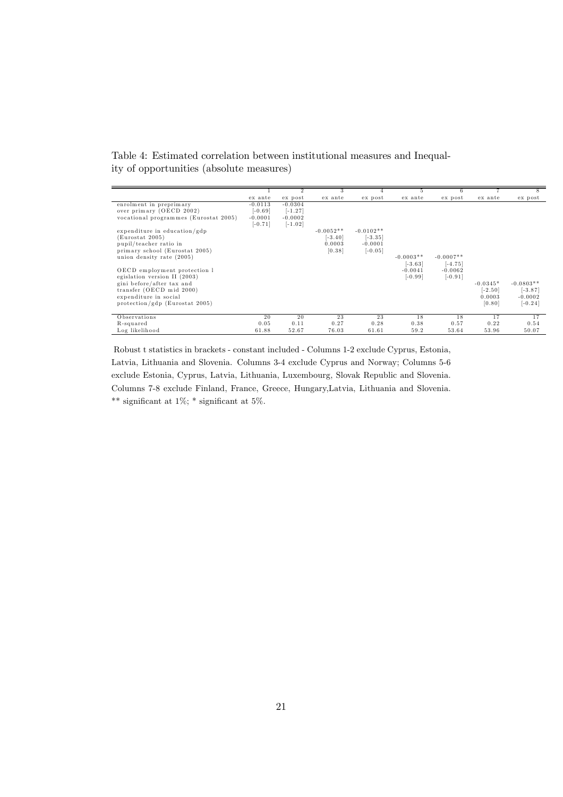Table 4: Estimated correlation between institutional measures and Inequality of opportunities (absolute measures)

|                                       |           |           | 3           |             | 5.          | 6           |            |             |
|---------------------------------------|-----------|-----------|-------------|-------------|-------------|-------------|------------|-------------|
|                                       | ex ante   | ex post   | ex ante     | ex post     | ex ante     | ex post     | ex ante    | ex post     |
| enrolment in preprimary               | $-0.0113$ | $-0.0304$ |             |             |             |             |            |             |
| over primary (OECD 2002)              | $-0.69$   | $[-1.27]$ |             |             |             |             |            |             |
| vocational programmes (Eurostat 2005) | $-0.0001$ | $-0.0002$ |             |             |             |             |            |             |
|                                       | $[-0.71]$ | $[-1.02]$ |             |             |             |             |            |             |
| expenditure in education/gdp          |           |           | $-0.0052**$ | $-0.0102**$ |             |             |            |             |
| (Eurostat 2005)                       |           |           | $[-3.40]$   | $[-3.35]$   |             |             |            |             |
| pupil/teacher ratio in                |           |           | 0.0003      | $-0.0001$   |             |             |            |             |
| primary school (Eurostat 2005)        |           |           | [0.38]      | $[-0.05]$   |             |             |            |             |
| union density rate (2005)             |           |           |             |             | $-0.0003**$ | $-0.0007**$ |            |             |
|                                       |           |           |             |             | $[-3.63]$   | $[-4.75]$   |            |             |
| OECD employment protection 1          |           |           |             |             | $-0.0041$   | $-0.0062$   |            |             |
| egislation version II (2003)          |           |           |             |             | $[-0.99]$   | $[-0.91]$   |            |             |
| gini before/after tax and             |           |           |             |             |             |             | $-0.0345*$ | $-0.0803**$ |
| transfer (OECD mid 2000)              |           |           |             |             |             |             | $[-2.50]$  | $[-3.87]$   |
| expenditure in social                 |           |           |             |             |             |             | 0.0003     | $-0.0002$   |
| protection/gdp (Eurostat 2005)        |           |           |             |             |             |             | [0.80]     | $[-0.24]$   |
|                                       |           |           |             |             |             |             |            |             |
| Observations                          | 20        | 20        | 23          | 23          | 18          | 18          | 17         | 17          |
| R-squared                             | 0.05      | 0.11      | 0.27        | 0.28        | 0.38        | 0.57        | 0.22       | 0.54        |
| Log likelihood                        | 61.88     | 52.67     | 76.03       | 61.61       | 59.2        | 53.64       | 53.96      | 50.07       |

Robust t statistics in brackets - constant included - Columns 1-2 exclude Cyprus, Estonia, Latvia, Lithuania and Slovenia. Columns 3-4 exclude Cyprus and Norway; Columns 5-6 exclude Estonia, Cyprus, Latvia, Lithuania, Luxembourg, Slovak Republic and Slovenia. Columns 7-8 exclude Finland, France, Greece, Hungary,Latvia, Lithuania and Slovenia. \*\* significant at  $1\%$ ; \* significant at  $5\%$ .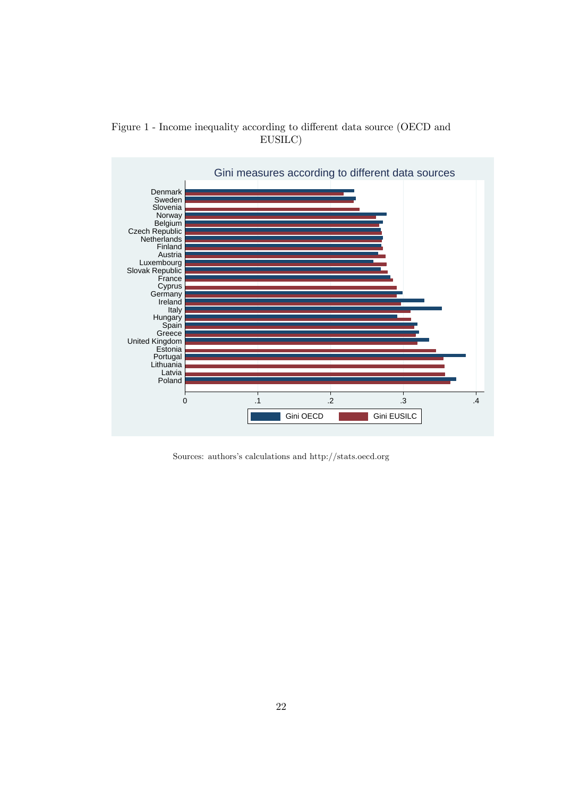

Figure 1 - Income inequality according to different data source (OECD and EUSILC)

Sources: authors's calculations and http://stats.oecd.org

Gini OECD Gini EUSILC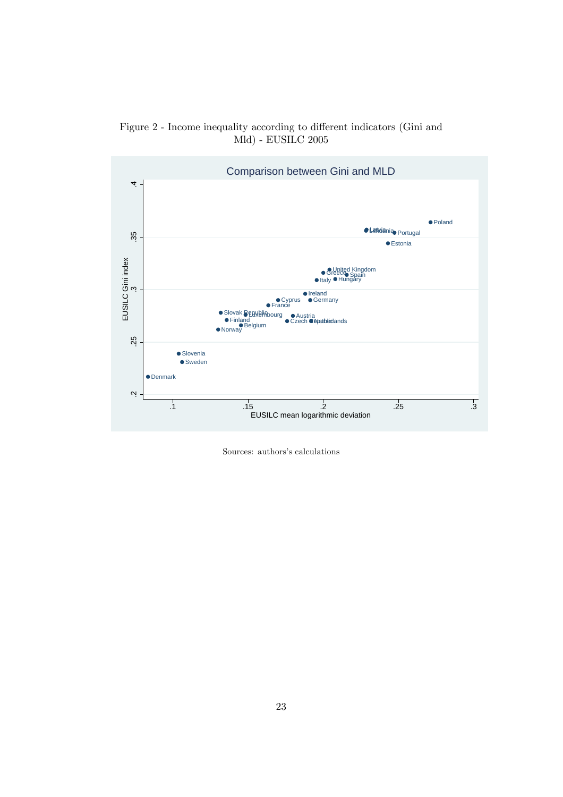



Sources: authors's calculations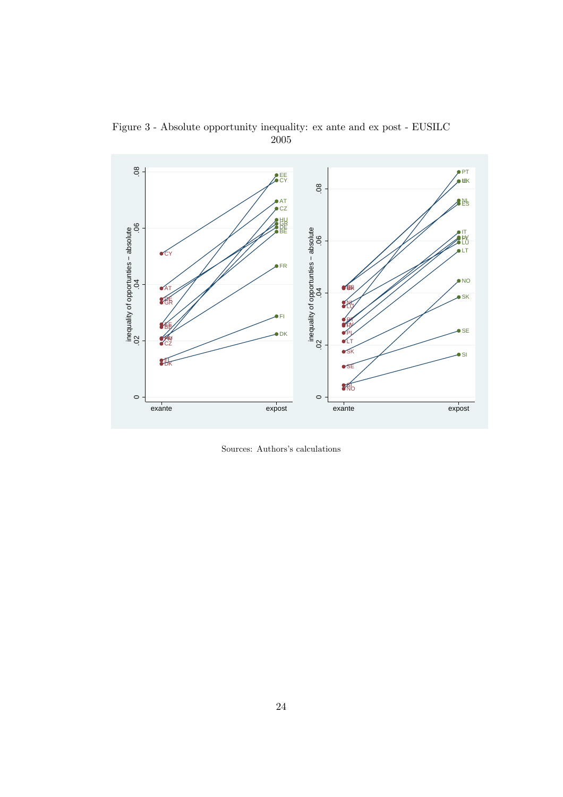

Figure 3 - Absolute opportunity inequality: ex ante and ex post - EUSILC 2005

Sources: Authors's calculations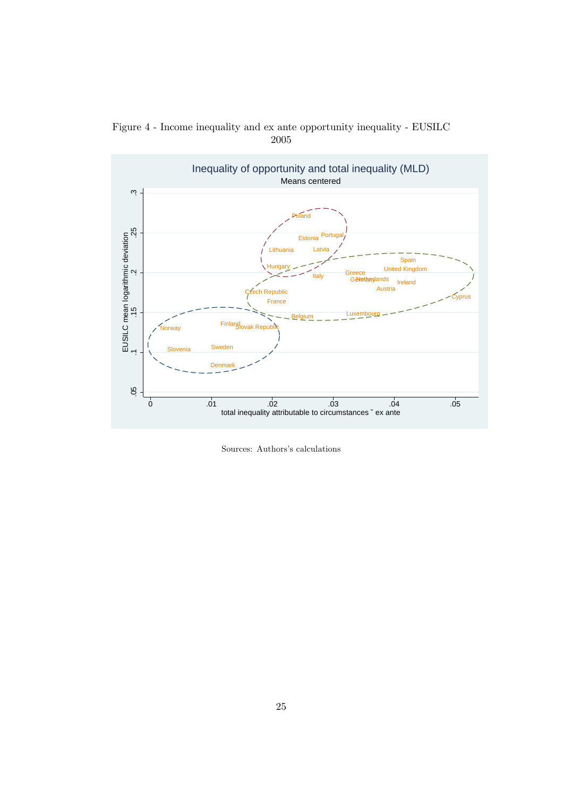

Figure 4 - Income inequality and ex ante opportunity inequality - EUSILC 2005

Sources: Authors's calculations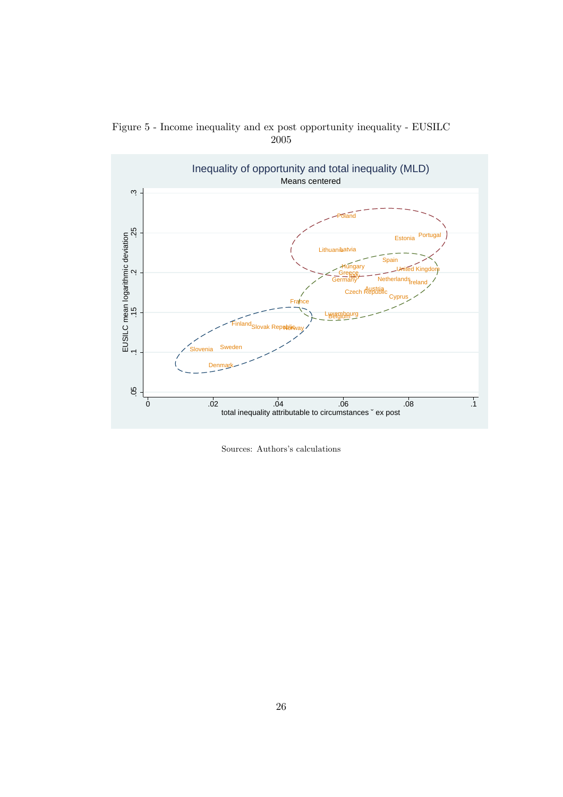

Figure 5 - Income inequality and ex post opportunity inequality - EUSILC 2005

Sources: Authors's calculations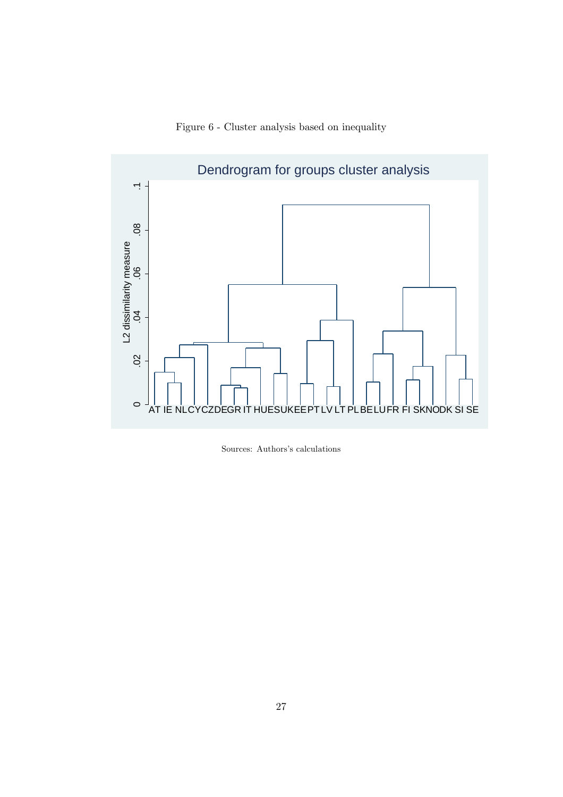



Sources: Authors's calculations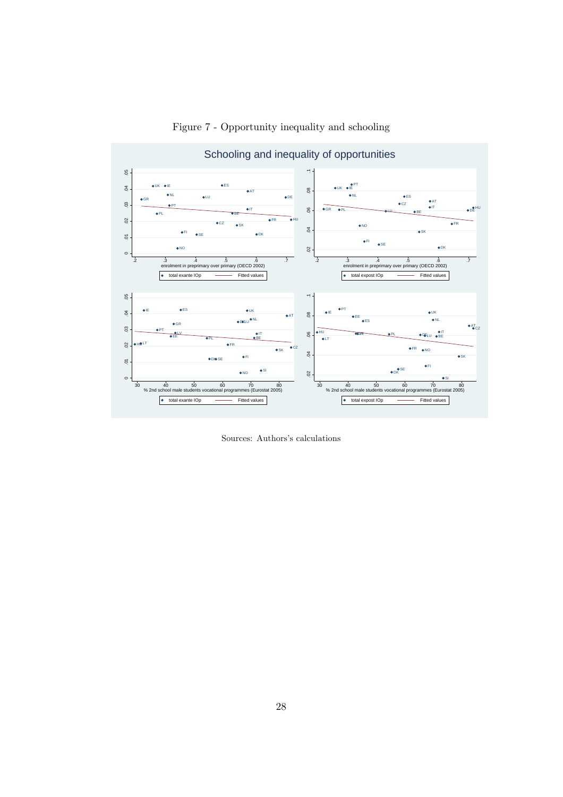

Figure 7 - Opportunity inequality and schooling

Sources: Authors's calculations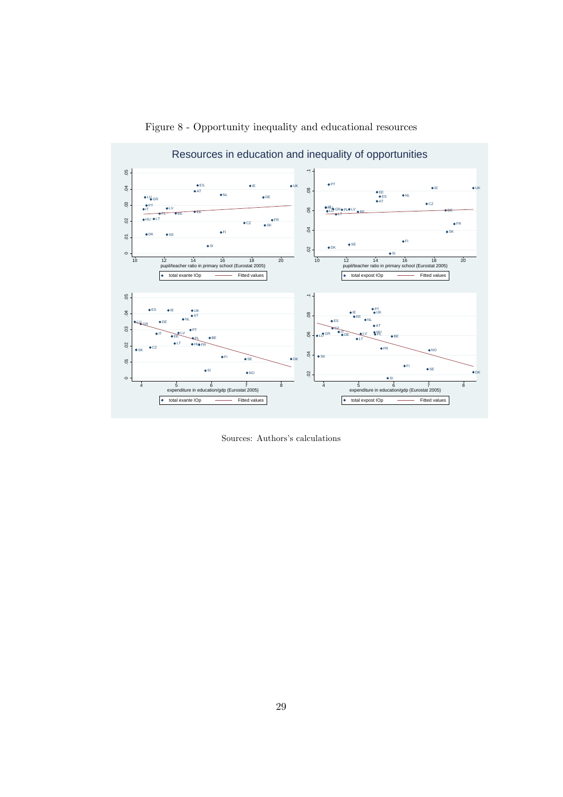

Figure 8 - Opportunity inequality and educational resources

Sources: Authors's calculations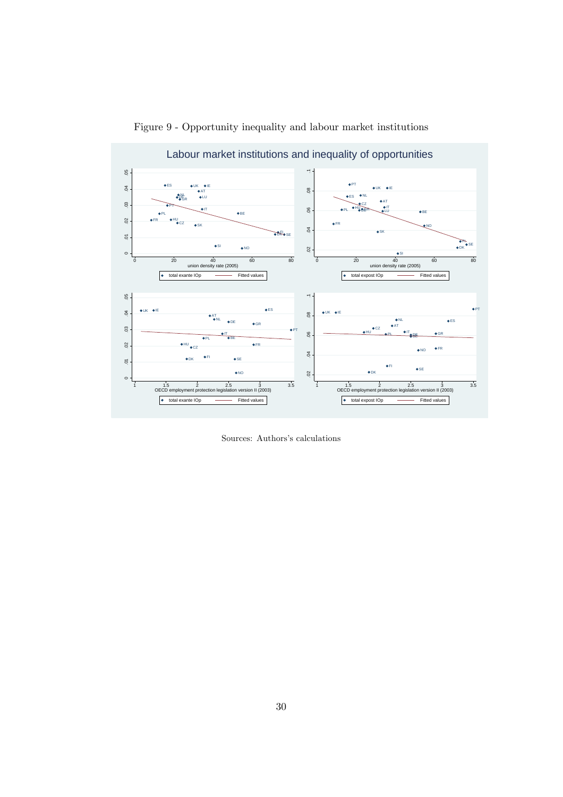

Figure 9 - Opportunity inequality and labour market institutions

Sources: Authors's calculations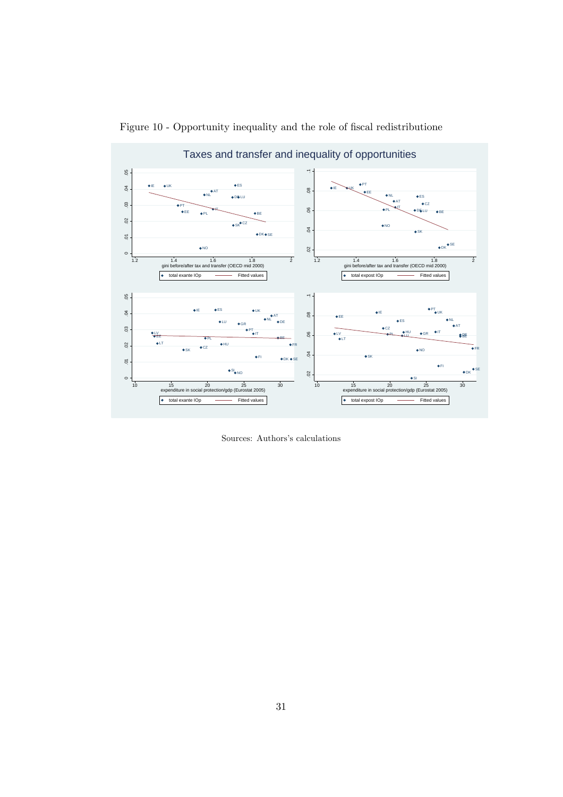

Figure 10 - Opportunity inequality and the role of fiscal redistributione

Sources: Authors's calculations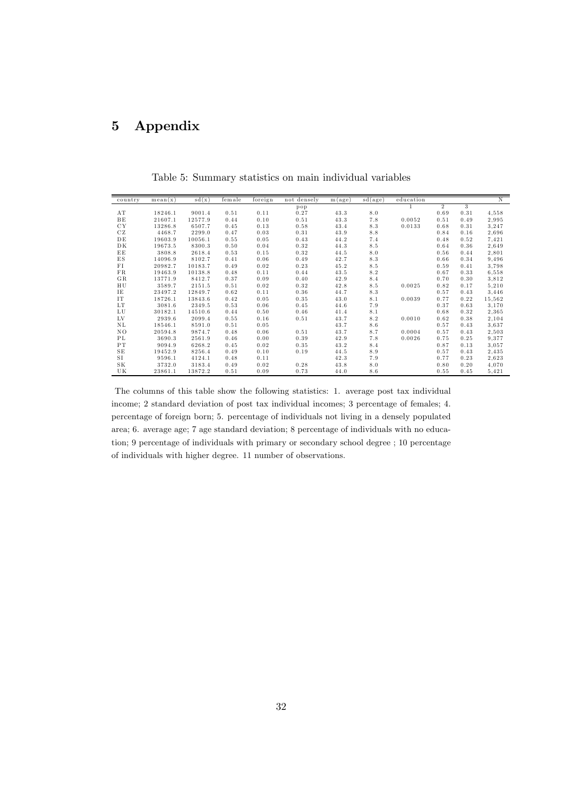# 5 Appendix

| country              | mean(x) | sd(x)   | female | foreign | not densely | m(age) | sd(age) | education |                |      | N      |
|----------------------|---------|---------|--------|---------|-------------|--------|---------|-----------|----------------|------|--------|
|                      |         |         |        |         | pop         |        |         |           | $\overline{2}$ | 3    |        |
| AT                   | 18246.1 | 9001.4  | 0.51   | 0.11    | 0.27        | 43.3   | 8.0     |           | 0.69           | 0.31 | 4,558  |
| $\rm{B}\,\rm{E}$     | 21607.1 | 12577.9 | 0.44   | 0.10    | 0.51        | 43.3   | 7.8     | 0.0052    | 0.51           | 0.49 | 2,995  |
| <b>CY</b>            | 13286.8 | 6507.7  | 0.45   | 0.13    | 0.58        | 43.4   | $8.3$   | 0.0133    | 0.68           | 0.31 | 3,247  |
| CZ                   | 4468.7  | 2299.0  | 0.47   | 0.03    | 0.31        | 43.9   | 8.8     |           | 0.84           | 0.16 | 2.696  |
| DE                   | 19603.9 | 10056.1 | 0.55   | 0.05    | 0.43        | 44.2   | 7.4     |           | 0.48           | 0.52 | 7,421  |
| DK                   | 19673.5 | 8300.3  | 0.50   | 0.04    | 0.32        | 44.3   | 8.5     |           | 0.64           | 0.36 | 2,649  |
| EE                   | 3808.8  | 2618.4  | 0.53   | 0.15    | 0.32        | 44.5   | 8.0     |           | 0.56           | 0.44 | 2,801  |
| $_{\rm ES}$          | 14096.9 | 8102.7  | 0.41   | 0.06    | 0.49        | 42.7   | $8.3$   |           | 0.66           | 0.34 | 9,496  |
| FI                   | 20982.7 | 10183.7 | 0.49   | 0.02    | 0.23        | 45.2   | 8.5     |           | 0.59           | 0.41 | 3.798  |
| FR                   | 19463.9 | 10138.8 | 0.48   | 0.11    | 0.44        | 43.5   | 8.2     |           | 0.67           | 0.33 | 6,558  |
| GR.                  | 13771.9 | 8412.7  | 0.37   | 0.09    | 0.40        | 42.9   | 8.4     |           | 0.70           | 0.30 | 3,812  |
| HU                   | 3589.7  | 2151.5  | 0.51   | 0.02    | 0.32        | 42.8   | 8.5     | 0.0025    | 0.82           | 0.17 | 5,210  |
| IE                   | 23497.2 | 12849.7 | 0.62   | 0.11    | 0.36        | 44.7   | $8.3\,$ |           | 0.57           | 0.43 | 3,446  |
| <b>IT</b>            | 18726.1 | 13843.6 | 0.42   | 0.05    | 0.35        | 43.0   | 8.1     | 0.0039    | 0.77           | 0.22 | 15,562 |
| LT                   | 3081.6  | 2349.5  | 0.53   | 0.06    | 0.45        | 44.6   | 7.9     |           | 0.37           | 0.63 | 3.170  |
| ${\rm L}\, {\rm U}$  | 30182.1 | 14510.6 | 0.44   | 0.50    | 0.46        | 41.4   | 8.1     |           | 0.68           | 0.32 | 2,365  |
| LV                   | 2939.6  | 2099.4  | 0.55   | 0.16    | 0.51        | 43.7   | 8.2     | 0.0010    | 0.62           | 0.38 | 2,104  |
| ΝL                   | 18546.1 | 8591.0  | 0.51   | 0.05    |             | 43.7   | 8.6     |           | 0.57           | 0.43 | 3,637  |
| NO                   | 20594.8 | 9874.7  | 0.48   | 0.06    | 0.51        | 43.7   | 8.7     | 0.0004    | 0.57           | 0.43 | 2,503  |
| ΡL                   | 3690.3  | 2561.9  | 0.46   | 0.00    | 0.39        | 42.9   | 7.8     | 0.0026    | 0.75           | 0.25 | 9.377  |
| ${\rm P\,T}$         | 9094.9  | 6268.2  | 0.45   | 0.02    | 0.35        | 43.2   | 8.4     |           | 0.87           | 0.13 | 3.057  |
| ${\bf S} \, {\bf E}$ | 19452.9 | 8256.4  | 0.49   | 0.10    | 0.19        | 44.5   | 8.9     |           | 0.57           | 0.43 | 2,435  |
| <b>SI</b>            | 9596.1  | 4124.1  | 0.48   | 0.11    |             | 42.3   | 7.9     |           | 0.77           | 0.23 | 2,623  |
| $\rm S\,K$           | 3732.0  | 3183.4  | 0.49   | 0.02    | 0.28        | 43.8   | 8.0     |           | 0.80           | 0.20 | 4,070  |
| UK                   | 23861.1 | 13872.2 | 0.51   | 0.09    | 0.73        | 44.0   | 8.6     |           | 0.55           | 0.45 | 5,421  |

Table 5: Summary statistics on main individual variables

The columns of this table show the following statistics: 1. average post tax individual income; 2 standard deviation of post tax individual incomes; 3 percentage of females; 4. percentage of foreign born; 5. percentage of individuals not living in a densely populated area; 6. average age; 7 age standard deviation; 8 percentage of individuals with no education; 9 percentage of individuals with primary or secondary school degree ; 10 percentage of individuals with higher degree. 11 number of observations.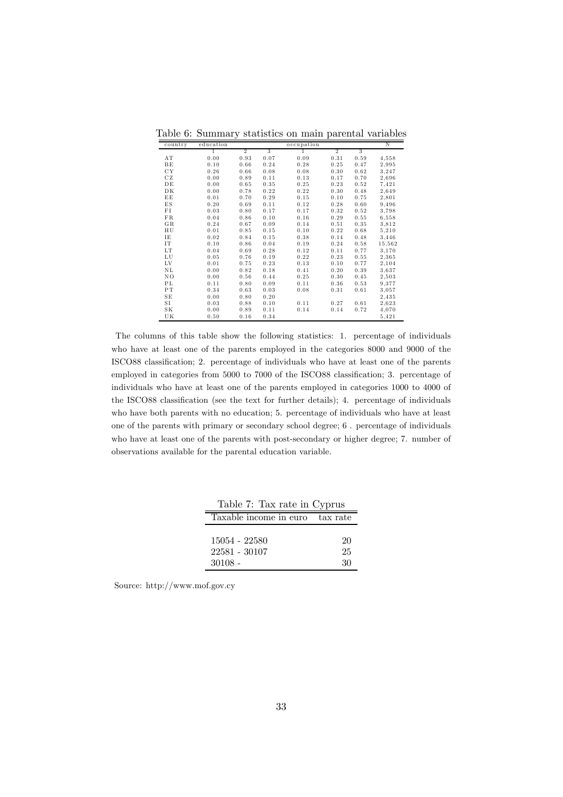| country | education |                |                | occupation |                |      | Ν      |
|---------|-----------|----------------|----------------|------------|----------------|------|--------|
|         | T         | $\overline{2}$ | $\overline{3}$ | 1          | $\overline{2}$ | 3    |        |
| AΤ      | 0.00      | 0.93           | 0.07           | 0.09       | 0.31           | 0.59 | 4,558  |
| ΒE      | 0.10      | 0.66           | 0.24           | 0.28       | 0.25           | 0.47 | 2,995  |
| CY      | 0.26      | 0.66           | 0.08           | 0.08       | 0.30           | 0.62 | 3,247  |
| CZ      | 0.00      | 0.89           | 0.11           | 0.13       | 0.17           | 0.70 | 2,696  |
| DΕ      | 0.00      | 0.65           | 0.35           | 0.25       | 0.23           | 0.52 | 7,421  |
| DK      | 0.00      | 0.78           | 0.22           | 0.22       | 0.30           | 0.48 | 2,649  |
| ΕE      | 0.01      | 0.70           | 0.29           | 0.15       | 0.10           | 0.75 | 2,801  |
| ΕS      | 0.20      | 0.69           | 0.11           | 0.12       | 0.28           | 0.60 | 9,496  |
| FI      | 0.03      | 0.80           | 0.17           | 0.17       | 0.32           | 0.52 | 3,798  |
| FR      | 0.04      | 0.86           | 0.10           | 0.16       | 0.29           | 0.55 | 6,558  |
| GR.     | 0.24      | 0.67           | 0.09           | 0.14       | 0.51           | 0.35 | 3,812  |
| ΗU      | 0.01      | 0.85           | 0.15           | 0.10       | 0.22           | 0.68 | 5,210  |
| ΙE      | 0.02      | 0.84           | 0.15           | 0.38       | 0.14           | 0.48 | 3,446  |
| IΤ      | 0.10      | 0.86           | 0.04           | 0.19       | 0.24           | 0.58 | 15,562 |
| LT      | 0.04      | 0.69           | 0.28           | 0.12       | 0.11           | 0.77 | 3,170  |
| LU      | 0.05      | 0.76           | 0.19           | 0.22       | 0.23           | 0.55 | 2,365  |
| LV      | 0.01      | 0.75           | 0.23           | 0.13       | 0.10           | 0.77 | 2,104  |
| ΝL      | 0.00      | 0.82           | 0.18           | 0.41       | 0.20           | 0.39 | 3.637  |
| NO      | 0.00      | 0.56           | 0.44           | 0.25       | 0.30           | 0.45 | 2,503  |
| РL      | 0.11      | 0.80           | 0.09           | 0.11       | 0.36           | 0.53 | 9,377  |
| PT      | 0.34      | 0.63           | 0.03           | 0.08       | 0.31           | 0.61 | 3,057  |
| SΕ      | 0.00      | 0.80           | 0.20           |            |                |      | 2,435  |
| SI      | 0.03      | 0.88           | 0.10           | 0.11       | 0.27           | 0.61 | 2,623  |
| SΚ      | 0.00      | 0.89           | 0.11           | 0.14       | 0.14           | 0.72 | 4,070  |
| UΚ      | 0.50      | 0.16           | 0.34           |            |                |      | 5,421  |

Table 6: Summary statistics on main parental variables

The columns of this table show the following statistics: 1. percentage of individuals who have at least one of the parents employed in the categories 8000 and 9000 of the ISCO88 classification; 2. percentage of individuals who have at least one of the parents employed in categories from 5000 to 7000 of the ISCO88 classification; 3. percentage of individuals who have at least one of the parents employed in categories 1000 to 4000 of the ISCO88 classification (see the text for further details); 4. percentage of individuals who have both parents with no education; 5. percentage of individuals who have at least one of the parents with primary or secondary school degree; 6 . percentage of individuals who have at least one of the parents with post-secondary or higher degree; 7. number of observations available for the parental education variable.

| Table 7: Tax rate in Cyprus                 |                |
|---------------------------------------------|----------------|
| Taxable income in euro                      | tax rate       |
| 15054 - 22580<br>22581 - 30107<br>$30108 -$ | 20<br>25<br>30 |

Source: http://www.mof.gov.cy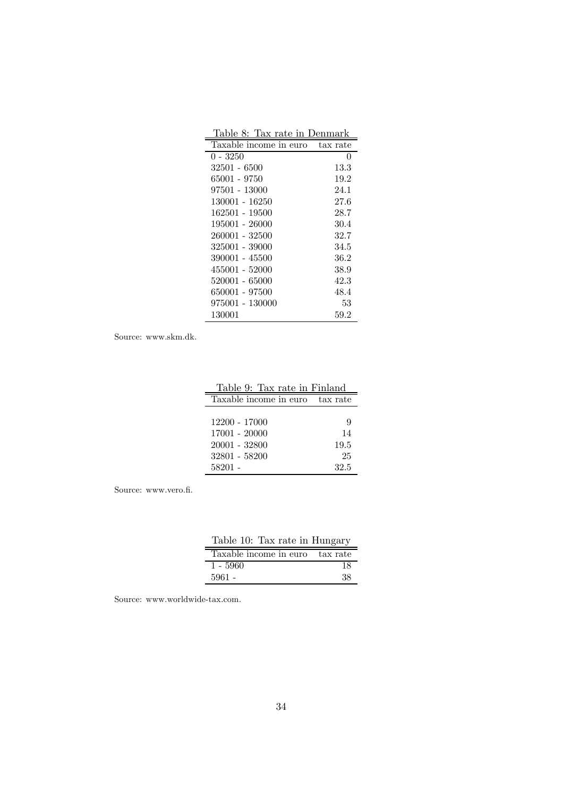| Table 8: Tax rate in Denmark |          |
|------------------------------|----------|
| Taxable income in euro       | tax rate |
| 0 - 3250                     | 0        |
| 32501 - 6500                 | 13.3     |
| 65001 - 9750                 | 19.2     |
| 97501 - 13000                | 24.1     |
| 130001 - 16250               | 27.6     |
| 162501 - 19500               | 28.7     |
| 195001 - 26000               | 30.4     |
| 260001 - 32500               | 32.7     |
| 325001 - 39000               | 34.5     |
| 390001 - 45500               | 36.2     |
| 455001 - 52000               | 38.9     |
| 520001 - 65000               | 42.3     |
| 650001 - 97500               | 48.4     |
| 975001 - 130000              | 53       |
| 130001                       | 59.2     |

Source: www.skm.dk.

| Table 9: Tax rate in Finland |          |
|------------------------------|----------|
| Taxable income in euro       | tax rate |
|                              |          |
| 12200 - 17000                | 9        |
| 17001 - 20000                | 14       |
| 20001 - 32800                | 19.5     |
| 32801 - 58200                | 25       |
| 58201 -                      | 32.5     |

Source: www.vero.fi.

| Table 10: Tax rate in Hungary   |    |
|---------------------------------|----|
| Taxable income in euro tax rate |    |
| $1 - 5960$                      | 18 |
| $5961 -$                        | 38 |

Source: www.worldwide-tax.com.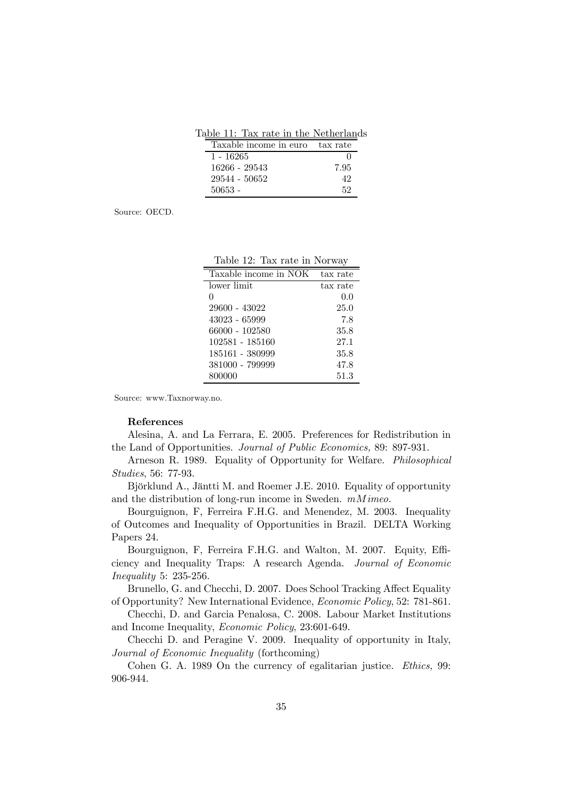Table 11: Tax rate in the Netherlands

| Taxable income in euro | tax rate |
|------------------------|----------|
| 1 - 16265              |          |
| 16266 - 29543          | 7.95     |
| 29544 - 50652          | 42       |
| $50653 -$              | 52       |

Source: OECD.

|  |  |  |  |  | Table 12: Tax rate in Norway |
|--|--|--|--|--|------------------------------|
|--|--|--|--|--|------------------------------|

| Taxable income in NOK | tax rate |
|-----------------------|----------|
| lower limit.          | tax rate |
| 0                     | 0.0      |
| 29600 - 43022         | 25.0     |
| 43023 - 65999         | 7.8      |
| 66000 - 102580        | 35.8     |
| 102581 - 185160       | 27.1     |
| 185161 - 380999       | $35.8\,$ |
| 381000 - 799999       | 47.8     |
| 800000                | 51.3     |

Source: www.Taxnorway.no.

#### References

Alesina, A. and La Ferrara, E. 2005. Preferences for Redistribution in the Land of Opportunities. Journal of Public Economics, 89: 897-931.

Arneson R. 1989. Equality of Opportunity for Welfare. Philosophical Studies, 56: 77-93.

Björklund A., Jäntti M. and Roemer J.E. 2010. Equality of opportunity and the distribution of long-run income in Sweden. mMimeo.

Bourguignon, F, Ferreira F.H.G. and Menendez, M. 2003. Inequality of Outcomes and Inequality of Opportunities in Brazil. DELTA Working Papers 24.

Bourguignon, F, Ferreira F.H.G. and Walton, M. 2007. Equity, Efficiency and Inequality Traps: A research Agenda. Journal of Economic Inequality 5: 235-256.

Brunello, G. and Checchi, D. 2007. Does School Tracking Affect Equality of Opportunity? New International Evidence, Economic Policy, 52: 781-861.

Checchi, D. and Garcia Penalosa, C. 2008. Labour Market Institutions and Income Inequality, Economic Policy, 23:601-649.

Checchi D. and Peragine V. 2009. Inequality of opportunity in Italy, Journal of Economic Inequality (forthcoming)

Cohen G. A. 1989 On the currency of egalitarian justice. Ethics, 99: 906-944.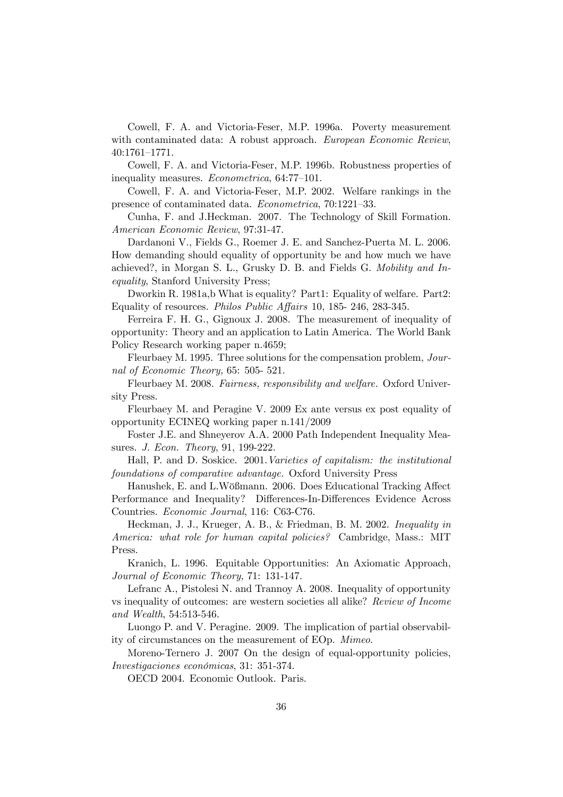Cowell, F. A. and Victoria-Feser, M.P. 1996a. Poverty measurement with contaminated data: A robust approach. European Economic Review, 40:1761—1771.

Cowell, F. A. and Victoria-Feser, M.P. 1996b. Robustness properties of inequality measures. Econometrica, 64:77—101.

Cowell, F. A. and Victoria-Feser, M.P. 2002. Welfare rankings in the presence of contaminated data. Econometrica, 70:1221—33.

Cunha, F. and J.Heckman. 2007. The Technology of Skill Formation. American Economic Review, 97:31-47.

Dardanoni V., Fields G., Roemer J. E. and Sanchez-Puerta M. L. 2006. How demanding should equality of opportunity be and how much we have achieved?, in Morgan S. L., Grusky D. B. and Fields G. Mobility and Inequality, Stanford University Press;

Dworkin R. 1981a,b What is equality? Part1: Equality of welfare. Part2: Equality of resources. Philos Public Affairs 10, 185- 246, 283-345.

Ferreira F. H. G., Gignoux J. 2008. The measurement of inequality of opportunity: Theory and an application to Latin America. The World Bank Policy Research working paper n.4659;

Fleurbaey M. 1995. Three solutions for the compensation problem, Journal of Economic Theory, 65: 505- 521.

Fleurbaey M. 2008. Fairness, responsibility and welfare. Oxford University Press.

Fleurbaey M. and Peragine V. 2009 Ex ante versus ex post equality of opportunity ECINEQ working paper n.141/2009

Foster J.E. and Shneyerov A.A. 2000 Path Independent Inequality Measures. J. Econ. Theory, 91, 199-222.

Hall, P. and D. Soskice. 2001.Varieties of capitalism: the institutional foundations of comparative advantage. Oxford University Press

Hanushek, E. and L.Wößmann. 2006. Does Educational Tracking Affect Performance and Inequality? Differences-In-Differences Evidence Across Countries. Economic Journal, 116: C63-C76.

Heckman, J. J., Krueger, A. B., & Friedman, B. M. 2002. Inequality in America: what role for human capital policies? Cambridge, Mass.: MIT Press.

Kranich, L. 1996. Equitable Opportunities: An Axiomatic Approach, Journal of Economic Theory, 71: 131-147.

Lefranc A., Pistolesi N. and Trannoy A. 2008. Inequality of opportunity vs inequality of outcomes: are western societies all alike? Review of Income and Wealth, 54:513-546.

Luongo P. and V. Peragine. 2009. The implication of partial observability of circumstances on the measurement of EOp. Mimeo.

Moreno-Ternero J. 2007 On the design of equal-opportunity policies, Investigaciones económicas, 31: 351-374.

OECD 2004. Economic Outlook. Paris.